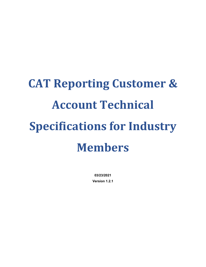# **CAT Reporting Customer & Account Technical Specifications for Industry Members**

**03/23/2021 Version 1.2.1**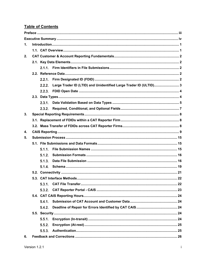# **Table of Contents**

| $\mathbf 1$ . |  |        |                                                                   |  |  |  |  |  |  |  |
|---------------|--|--------|-------------------------------------------------------------------|--|--|--|--|--|--|--|
|               |  |        |                                                                   |  |  |  |  |  |  |  |
| 2.            |  |        |                                                                   |  |  |  |  |  |  |  |
|               |  |        |                                                                   |  |  |  |  |  |  |  |
|               |  |        |                                                                   |  |  |  |  |  |  |  |
|               |  |        |                                                                   |  |  |  |  |  |  |  |
|               |  | 2.2.1. |                                                                   |  |  |  |  |  |  |  |
|               |  | 2.2.2. | Large Trader ID (LTID) and Unidentified Large Trader ID (ULTID) 3 |  |  |  |  |  |  |  |
|               |  |        |                                                                   |  |  |  |  |  |  |  |
|               |  |        |                                                                   |  |  |  |  |  |  |  |
|               |  |        |                                                                   |  |  |  |  |  |  |  |
|               |  | 2.3.2. |                                                                   |  |  |  |  |  |  |  |
| 3.            |  |        |                                                                   |  |  |  |  |  |  |  |
|               |  |        |                                                                   |  |  |  |  |  |  |  |
|               |  |        |                                                                   |  |  |  |  |  |  |  |
| 4.            |  |        |                                                                   |  |  |  |  |  |  |  |
| 5.            |  |        |                                                                   |  |  |  |  |  |  |  |
|               |  |        |                                                                   |  |  |  |  |  |  |  |
|               |  | 5.1.1. |                                                                   |  |  |  |  |  |  |  |
|               |  | 5.1.2. |                                                                   |  |  |  |  |  |  |  |
|               |  | 5.1.3. |                                                                   |  |  |  |  |  |  |  |
|               |  | 5.1.4. |                                                                   |  |  |  |  |  |  |  |
|               |  |        |                                                                   |  |  |  |  |  |  |  |
|               |  |        |                                                                   |  |  |  |  |  |  |  |
|               |  | 5.3.1. |                                                                   |  |  |  |  |  |  |  |
|               |  |        |                                                                   |  |  |  |  |  |  |  |
|               |  |        |                                                                   |  |  |  |  |  |  |  |
|               |  | 5.4.1. |                                                                   |  |  |  |  |  |  |  |
|               |  | 5.4.2. |                                                                   |  |  |  |  |  |  |  |
|               |  |        |                                                                   |  |  |  |  |  |  |  |
|               |  | 5.5.1. |                                                                   |  |  |  |  |  |  |  |
|               |  | 5.5.2. |                                                                   |  |  |  |  |  |  |  |
|               |  | 5.5.3. |                                                                   |  |  |  |  |  |  |  |
| 6.            |  |        |                                                                   |  |  |  |  |  |  |  |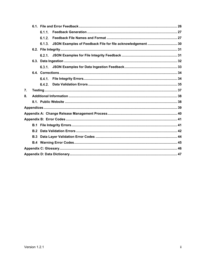|    |     | 6.1.1  |                                                                    |  |
|----|-----|--------|--------------------------------------------------------------------|--|
|    |     | 6.1.2. |                                                                    |  |
|    |     |        | 6.1.3. JSON Examples of Feedback File for file acknowledgement  30 |  |
|    |     |        |                                                                    |  |
|    |     |        |                                                                    |  |
|    |     |        |                                                                    |  |
|    |     |        |                                                                    |  |
|    |     |        |                                                                    |  |
|    |     |        |                                                                    |  |
|    |     | 6.4.2. |                                                                    |  |
| 7. |     |        |                                                                    |  |
| 8. |     |        |                                                                    |  |
|    |     |        |                                                                    |  |
|    |     |        |                                                                    |  |
|    |     |        |                                                                    |  |
|    |     |        |                                                                    |  |
|    |     |        |                                                                    |  |
|    | B.2 |        |                                                                    |  |
|    | B.3 |        |                                                                    |  |
|    |     |        |                                                                    |  |
|    |     |        |                                                                    |  |
|    |     |        |                                                                    |  |
|    |     |        |                                                                    |  |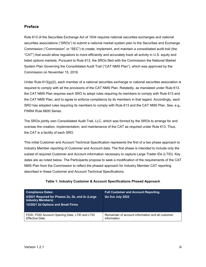#### <span id="page-3-0"></span>**Preface**

Rule 613 of the Securities Exchange Act of 1934 requires national securities exchanges and national securities associations ("SROs") to submit a national market system plan to the Securities and Exchange Commission ("Commission" or "SEC") to create, implement, and maintain a consolidated audit trail (the "CAT") that would allow regulators to more efficiently and accurately track all activity in U.S. equity and listed options markets. Pursuant to Rule 613, the SROs filed with the Commission the National Market System Plan Governing the Consolidated Audit Trail ("CAT NMS Plan"), which was approved by the Commission on November 15, 2016.

Under Rule  $613(q)(2)$ , each member of a national securities exchange or national securities association is required to comply with all the provisions of the CAT NMS Plan. Relatedly, as mandated under Rule 613, the CAT NMS Plan requires each SRO to adopt rules requiring its members to comply with Rule 613 and the CAT NMS Plan, and to agree to enforce compliance by its members in that regard. Accordingly, each SRO has adopted rules requiring its members to comply with Rule 613 and the CAT NMS Plan. See, e.g., FINRA Rule 6800 Series.

The SROs jointly own Consolidated Audit Trail, LLC, which was formed by the SROs to arrange for and oversee the creation, implementation, and maintenance of the CAT as required under Rule 613. Thus, the CAT is a facility of each SRO.

This initial Customer and Account Technical Specification represents the first of a two phase approach to Industry Member reporting of Customer and Account data. The first phase is intended to include only the subset of required Customer and Account information necessary to capture Large Trader IDs (LTID). Key dates are as noted below. The Participants propose to seek a modification of the requirements of the CAT NMS Plan from the Commission to reflect the phased approach for Industry Member CAT reporting described in these Customer and Account Technical Specifications.

| <b>Compliance Dates:</b><br>4/2021 Required for Phases 2a, 2b, and 2c (Large<br><b>Industry Members)</b><br>12/2021 2d Options and Small Firms | <b>Full Customer and Account Reporting</b><br>Go live July 2022 |
|------------------------------------------------------------------------------------------------------------------------------------------------|-----------------------------------------------------------------|
| FDID, FDID Account Opening Date, LTID and LTID                                                                                                 | Remainder of account information and all customer               |
| <b>Effective Date</b>                                                                                                                          | information                                                     |

#### **Table 1: Industry Customer & Account Specifications Phased Approach**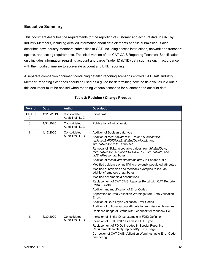# <span id="page-4-0"></span>**Executive Summary**

This document describes the requirements for the reporting of customer and account data to CAT by Industry Members, including detailed information about data elements and file submission. It also describes how Industry Members submit files to CAT, including access instructions, network and transport options, and testing requirements. The initial version of the CAT CAIS Reporting Technical Specification only includes information regarding account and Large Trader ID (LTID) data submission, in accordance with the modified timeline to accelerate account and LTID reporting.

A separate companion document containing detailed reporting scenarios entitled CAT CAIS Industry Member Reporting Scenarios should be used as a guide for determining how the field values laid out in this document must be applied when reporting various scenarios for customer and account data.

| <b>Version</b>      | <b>Date</b> | <b>Author</b>                    | <b>Description</b>                                                                                                                                                                                                                                                                                                                                                                                                                                                                                                                                                                                                                                                                                                                                                                                                                                 |  |  |  |  |
|---------------------|-------------|----------------------------------|----------------------------------------------------------------------------------------------------------------------------------------------------------------------------------------------------------------------------------------------------------------------------------------------------------------------------------------------------------------------------------------------------------------------------------------------------------------------------------------------------------------------------------------------------------------------------------------------------------------------------------------------------------------------------------------------------------------------------------------------------------------------------------------------------------------------------------------------------|--|--|--|--|
| <b>DRAFT</b><br>1.0 | 12/13/2019  | Consolidated<br>Audit Trail, LLC | Initial draft                                                                                                                                                                                                                                                                                                                                                                                                                                                                                                                                                                                                                                                                                                                                                                                                                                      |  |  |  |  |
| 1.0                 | 1/31/2020   | Consolidated<br>Audit Trail, LLC | Publication of initial version                                                                                                                                                                                                                                                                                                                                                                                                                                                                                                                                                                                                                                                                                                                                                                                                                     |  |  |  |  |
| 1.1                 | 4/17/2020   | Consolidated<br>Audit Trail, LLC | Addition of Boolean data type<br>Addition of fdidEndDateNULL, fdidEndReasonNULL,<br>replacedByFDIDNULL, ItidEndDateNULL, and<br><b>ItidEndReasonNULL</b> attributes<br>Removal of NULL acceptable values from fdidEndDate,<br>fdidEndReason, replacedByFDIDNULL, ItidEndDate, and<br><i>ItidEndReason</i> attributes<br>Addition of <i>failed Correction Items</i> array in Feedback file<br>Modified guidance on nullifying previously populated attributes<br>Modified submission and feedback examples to include<br>additions/removals of attributes<br>Modified schema field descriptions<br>Replacement of CAT CAIS Reporter Portal with CAT Reporter<br>Portal - CAIS<br>Addition and modification of Error Codes<br>Separation of Data Validation Warnings from Data Validation<br>Errors<br>Addition of Data Layer Validation Error Codes |  |  |  |  |
|                     |             |                                  | Addition of optional Group attribute for submission file names<br>Replaced usage of Status with Feedback for feedback file                                                                                                                                                                                                                                                                                                                                                                                                                                                                                                                                                                                                                                                                                                                         |  |  |  |  |
| 1.1.1               | 6/30/2020   | Consolidated<br>Audit Trail, LLC | Inclusion of 'Entity ID' as example in FDID Definition<br>Inclusion of 'ENTITYID' as a valid FDID Type<br>Replacement of FDIDs included in Special Reporting<br>Requirements to clarify replaced By FDID usage<br>Correction of CAT CAIS Validation Warnings table Error Code<br>numbering                                                                                                                                                                                                                                                                                                                                                                                                                                                                                                                                                         |  |  |  |  |

#### **Table 2: Revision / Change Process**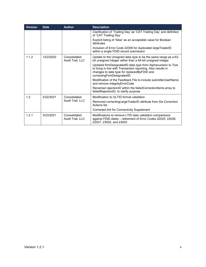| <b>Version</b> | <b>Date</b> | <b>Author</b>                                                                                                                | <b>Description</b>                                                                                                                                                                                         |  |  |  |  |
|----------------|-------------|------------------------------------------------------------------------------------------------------------------------------|------------------------------------------------------------------------------------------------------------------------------------------------------------------------------------------------------------|--|--|--|--|
|                |             |                                                                                                                              | Clarification of 'Trading Day' as 'CAT Trading Day' and definition<br>of 'CAT Trading Day'                                                                                                                 |  |  |  |  |
|                |             |                                                                                                                              | Explicit listing of 'false' as an acceptable value for Boolean<br>attributes                                                                                                                               |  |  |  |  |
|                |             |                                                                                                                              | Inclusion of Error Code 22006 for duplicated largeTraderID<br>within a single FDID record submission                                                                                                       |  |  |  |  |
| 1.1.2          | 12/2/2020   | Update to the Unsigned data type to be the same range as a 63-<br>bit unsigned integer rather than a 64-bit unsigned integer |                                                                                                                                                                                                            |  |  |  |  |
|                |             |                                                                                                                              | Updated firmDesignatedID data type from Alphanumeric to Text<br>to bring in line with Transaction reporting. Also results in<br>changes to data type for replacedByFDID and<br>correctingFirmDesignatedID. |  |  |  |  |
|                |             |                                                                                                                              | Modification of the Feedback File to include submitter UserName<br>and remove integrityErrorCode                                                                                                           |  |  |  |  |
|                |             |                                                                                                                              | Renamed rejectionID within the failedCorrectionItems array to<br>failedRejectionID, to clarify purpose                                                                                                     |  |  |  |  |
| 1.2            | 2/22/2021   | Consolidated                                                                                                                 | Modification to ULTID format validation                                                                                                                                                                    |  |  |  |  |
|                |             | Audit Trail, LLC                                                                                                             | Removed correctingLargeTraderID attribute from the Correction<br>Actions list                                                                                                                              |  |  |  |  |
|                |             |                                                                                                                              | Corrected link for Connectivity Supplement                                                                                                                                                                 |  |  |  |  |
| 1.2.1          | 3/23/2021   | Consolidated<br>Audit Trail, LLC                                                                                             | Modifications to remove LTID date validation comparisons<br>against FDID dates - retirement of Error Codes 22025, 22026,<br>22027, 23002, and 23003                                                        |  |  |  |  |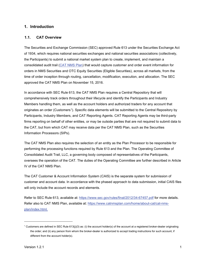#### <span id="page-6-0"></span>**1. Introduction**

#### <span id="page-6-1"></span>**1.1. CAT Overview**

The Securities and Exchange Commission (SEC) approved Rule 613 under the Securities Exchange Act of 1934, which requires national securities exchanges and national securities associations (collectively, the Participants) to submit a national market system plan to create, implement, and maintain a consolidated audit trail [\(CAT NMS Plan\)](https://www.catnmsplan.com/wp-content/uploads/2017/03/CAT-NMS-Plan-Current-as-of-7.24.17.pdf) that would capture customer and order event information for orders in NMS Securities and OTC Equity Securities (Eligible Securities), across all markets, from the time of order inception through routing, cancellation, modification, execution, and allocation. The SEC approved the CAT NMS Plan on November 15, 2016.

In accordance with SEC Rule 613, the CAT NMS Plan requires a Central Repository that will comprehensively track orders throughout their lifecycle and identify the Participants and Industry Members handling them, as well as the account holders and authorized traders for any account that originates an order (Customers[1\)](#page-6-2). Specific data elements will be submitted to the Central Repository by Participants, Industry Members, and CAT Reporting Agents. CAT Reporting Agents may be third-party firms reporting on behalf of other entities, or may be outside parties that are not required to submit data to the CAT, but from which CAT may receive data per the CAT NMS Plan, such as the Securities Information Processors (SIPs).

The CAT NMS Plan also requires the selection of an entity as the Plan Processor to be responsible for performing the processing functions required by Rule 613 and the Plan. The Operating Committee of Consolidated Audit Trail, LLC, a governing body composed of representatives of the Participants, oversees the operation of the CAT. The duties of the Operating Committee are further described in Article IV of the CAT NMS Plan.

The CAT Customer & Account Information System (CAIS) is the separate system for submission of customer and account data. In accordance with the phased approach to data submission, initial CAIS files will only include the account records and elements.

Refer to SEC Rule 613, available at:<https://www.sec.gov/rules/final/2012/34-67457.pdf> for more details. Refer also to CAT NMS Plan, available at: [https://www.catnmsplan.com/home/about-cat/cat-nms](https://www.catnmsplan.com/home/about-cat/cat-nms-plan/index.html)[plan/index.html.](https://www.catnmsplan.com/home/about-cat/cat-nms-plan/index.html)

<span id="page-6-2"></span><sup>&</sup>lt;sup>1</sup> Customers are defined in SEC Rule 613(j)(3) as: (i) the account holder(s) of the account at a registered broker-dealer originating the order; and (ii) any person from whom the broker-dealer is authorized to accept trading instructions for such account, if different from the account holder(s).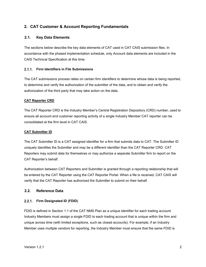# <span id="page-7-0"></span>**2. CAT Customer & Account Reporting Fundamentals**

#### <span id="page-7-1"></span>**2.1. Key Data Elements**

The sections below describe the key data elements of CAT used in CAT CAIS submission files. In accordance with the phased implementation schedule, only Account data elements are included in the CAIS Technical Specification at this time.

#### <span id="page-7-2"></span>**Firm Identifiers in File Submissions**

The CAT submissions process relies on certain firm identifiers to determine whose data is being reported, to determine and verify the authorization of the submitter of the data, and to obtain and verify the authorization of the third party that may take action on the data.

#### **CAT Reporter CRD**

The CAT Reporter CRD is the Industry Member's Central Registration Depository (CRD) number, used to ensure all account and customer reporting activity of a single Industry Member CAT reporter can be consolidated at the firm level in CAT CAIS.

#### **CAT Submitter ID**

The CAT Submitter ID is a CAT assigned identifier for a firm that submits data to CAT. The Submitter ID uniquely identifies the Submitter and may be a different identifier than the CAT Reporter CRD. CAT Reporters may submit data for themselves or may authorize a separate Submitter firm to report on the CAT Reporter's behalf.

Authorization between CAT Reporters and Submitter is granted through a reporting relationship that will be entered by the CAT Reporter using the CAT Reporter Portal. When a file is received, CAT CAIS will verify that the CAT Reporter has authorized the Submitter to submit on their behalf.

#### <span id="page-7-3"></span>**2.2. Reference Data**

#### <span id="page-7-4"></span>**Firm Designated ID (FDID)**

FDID is defined in Section 1.1 of the CAT NMS Plan as a unique identifier for each trading account. Industry Members must assign a single FDID to each trading account that is unique within the firm and unique across time (with limited exceptions, such as closed accounts). For example, if an Industry Member uses multiple vendors for reporting, the Industry Member must ensure that the same FDID is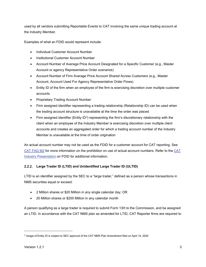used by all vendors submitting Reportable Events to CAT involving the same unique trading account at the Industry Member.

Examples of what an FDID would represent include:

- Individual Customer Account Number
- Institutional Customer Account Number
- Account Number of Average Price Account Designated for a Specific Customer (e.g., Master Account or agency Representative Order scenarios)
- Account Number of Firm Average Price Account Shared Across Customers (e.g., Master Account, Account Used For Agency Representative Order Flows)
- Entity ID of the firm when an employee of the firm is exercising discretion over multiple customer accounts
- Proprietary Trading Account Number
- Firm assigned identifier representing a trading relationship (Relationship ID) can be used when the trading account structure is unavailable at the time the order was placed
- Firm assigned identifier (Entity ID<sup>[2](#page-8-1)</sup>) representing the firm's discretionary relationship with the client when an employee of the Industry Member is exercising discretion over multiple client accounts and creates an aggregated order for which a trading account number of the Industry Member is unavailable at the time of order origination

An actual account number may not be used as the FDID for a customer account for CAT reporting. See [CAT FAQ M2](https://catnmsplan.com/faq/index.html#faqFDID) for more information on the prohibition on use of actual account numbers. Refer to the [CAT](https://catnmsplan.com/wp-content/uploads/2019/04/FDID-Guidance-April-2019.pdf)  Industry Presentation [on FDID for additional information.](https://catnmsplan.com/wp-content/uploads/2019/04/FDID-Guidance-April-2019.pdf)

#### <span id="page-8-0"></span>**Large Trader ID (LTID) and Unidentified Large Trader ID (ULTID)**

LTID is an identifier assigned by the SEC to a "large trader," defined as a person whose transactions in NMS securities equal or exceed:

- 2 Million shares or \$20 Million in any single calendar day; OR
- 20 Million shares or \$200 Million in any calendar month

A person qualifying as a large trader is required to submit Form 13H to the Commission, and be assigned an LTID. In accordance with the CAT NMS plan as amended for LTID, CAT Reporter firms are required to

<span id="page-8-1"></span><sup>&</sup>lt;sup>2</sup> Usage of Entity ID is subject to SEC approval of the CAT NMS Plan Amendment filed on April 14, 2020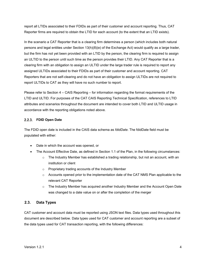report all LTIDs associated to their FDIDs as part of their customer and account reporting. Thus, CAT Reporter firms are required to obtain the LTID for each account (to the extent that an LTID exists).

In the scenario a CAT Reporter that is a clearing firm determines a person (which includes both natural persons and legal entities under Section 13(h)(8)(e) of the Exchange Act) would qualify as a large trader, but the firm has not yet been provided with an LTID by the person, the clearing firm is required to assign an ULTID to the person until such time as the person provides their LTID. Any CAT Reporter that is a clearing firm with an obligation to assign an ULTID under the large trader rule is required to report any assigned ULTIDs associated to their FDIDs as part of their customer and account reporting. CAT Reporters that are not self-clearing and do not have an obligation to assign ULTIDs are not required to report ULTIDs to CAT as they will have no such number to report.

Please refer to Section 4 – CAIS Reporting – for information regarding the format requirements of the LTID and ULTID. For purposes of the CAT CAIS Reporting Technical Specification, references to LTID attributes and scenarios throughout the document are intended to cover both LTID and ULTID usage in accordance with the reporting obligations noted above.

#### <span id="page-9-0"></span>**FDID Open Date**

The FDID open date is included in the CAIS data schema as *fdidDate*. The fdidDate field must be populated with either:

- Date in which the account was opened, or
- The Account Effective Date, as defined in Section 1.1 of the Plan, in the following circumstances:
	- $\circ$  The Industry Member has established a trading relationship, but not an account, with an institution or client
	- o Proprietary trading accounts of the Industry Member
	- $\circ$  Accounts opened prior to the implementation date of the CAT NMS Plan applicable to the relevant CAT Reporter
	- $\circ$  The Industry Member has acquired another Industry Member and the Account Open Date was changed to a date value on or after the completion of the merger

# <span id="page-9-1"></span>**2.3. Data Types**

CAT customer and account data must be reported using JSON text files. Data types used throughout this document are described below. Data types used for CAT customer and account reporting are a subset of the data types used for CAT transaction reporting, with the following differences: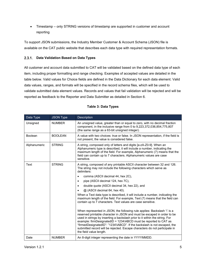• Timestamp – only STRING versions of timestamp are supported in customer and account reporting

To support JSON submissions, the [Industry](https://catnmsplan.com/technical-specifications/index.html) Member Customer & Account Schema (JSON) file is available on the CAT public website that describes each data type with required representation formats.

# <span id="page-10-0"></span>**Data Validation Based on Data Types**

All customer and account data submitted to CAT will be validated based on the defined data type of each item, including proper formatting and range checking. Examples of accepted values are detailed in the table below. Valid values for Choice fields are defined in the Data Dictionary for each data element. Valid data values, ranges, and formats will be specified in the record schema files, which will be used to validate submitted data element values. Records and values that fail validation will be rejected and will be reported as feedback to the Reporter and Data Submitter as detailed in Section 6.

| Data Type    | <b>JSON Type</b> | <b>Description</b>                                                                                                                                                                                                                                                                                                                                                                                                                                                                          |  |  |  |  |  |
|--------------|------------------|---------------------------------------------------------------------------------------------------------------------------------------------------------------------------------------------------------------------------------------------------------------------------------------------------------------------------------------------------------------------------------------------------------------------------------------------------------------------------------------------|--|--|--|--|--|
| Unsigned     | <b>NUMBER</b>    | An unsigned value, greater than or equal to zero, with no decimal fraction<br>component, in the inclusive range from 0 to 9,223,372,036,854,775,807<br>(the same range as a 63-bit unsigned integer).                                                                                                                                                                                                                                                                                       |  |  |  |  |  |
| Boolean      | <b>BOOLEAN</b>   | A value with two choices: true or false. In JSON representation, if the field is<br>not present, the value is considered false.                                                                                                                                                                                                                                                                                                                                                             |  |  |  |  |  |
| Alphanumeric | <b>STRING</b>    | A string, composed only of letters and digits [a-zA-Z0-9]. When an<br>Alphanumeric type is described, it will include a number, indicating the<br>maximum length of the field. For example, Alphanumeric (7) means that the<br>field can contain up to 7 characters. Alphanumeric values are case<br>sensitive.                                                                                                                                                                             |  |  |  |  |  |
| Text         | <b>STRING</b>    | A string, composed of any printable ASCII character between 32 and 126.<br>The string may not include the following characters which serve as<br>delimiters:                                                                                                                                                                                                                                                                                                                                |  |  |  |  |  |
|              |                  | comma (ASCII decimal 44, hex 2C),                                                                                                                                                                                                                                                                                                                                                                                                                                                           |  |  |  |  |  |
|              |                  | pipe (ASCII decimal 124, hex 7C),<br>$\bullet$                                                                                                                                                                                                                                                                                                                                                                                                                                              |  |  |  |  |  |
|              |                  | double quote (ASCII decimal 34, hex 22), and<br>$\bullet$                                                                                                                                                                                                                                                                                                                                                                                                                                   |  |  |  |  |  |
|              |                  | @ (ASCII decimal 64, hex 40).                                                                                                                                                                                                                                                                                                                                                                                                                                                               |  |  |  |  |  |
|              |                  | When a Text data type is described, it will include a number, indicating the<br>maximum length of the field. For example, Text (7) means that the field can<br>contain up to 7 characters. Text values are case sensitive.                                                                                                                                                                                                                                                                  |  |  |  |  |  |
|              |                  | When represented in JSON, the following rule applies: Backslash '\' is a<br>reserved printable character in JSON and must be escaped in order to be<br>used in strings by inserting a backslash prior to it within the string. For<br>example: firmDesignatedID = 1234\ABCD must be reported to CAT as<br>"firmedDesignatedID": "1234\\ABCD". If the backslash is not escaped, the<br>submitted record will be rejected. Escape characters do not participate in<br>the field value length. |  |  |  |  |  |
| Date         | <b>NUMBER</b>    | An 8-digit integer representing the date in YYYYMMDD.                                                                                                                                                                                                                                                                                                                                                                                                                                       |  |  |  |  |  |

#### **Table 3: Data Types**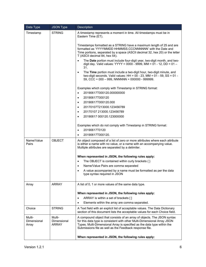| Data Type                      | <b>JSON Type</b>               | Description                                                                                                                                                                                                                                                                               |  |  |  |  |
|--------------------------------|--------------------------------|-------------------------------------------------------------------------------------------------------------------------------------------------------------------------------------------------------------------------------------------------------------------------------------------|--|--|--|--|
| Timestamp                      | <b>STRING</b>                  | A timestamp represents a moment in time. All timestamps must be in<br>Eastern Time (ET).                                                                                                                                                                                                  |  |  |  |  |
|                                |                                | Timestamps formatted as a STRING have a maximum length of 25 and are<br>formatted as 'YYYYMMDD HHMMSS.CCCNNNNNN' with the Date and<br>Time portions, separated by a space (ASCII decimal 32, hex 20) or the letter<br>T (ASCII decimal 84, hex 54).                                       |  |  |  |  |
|                                |                                | The Date portion must include four-digit year, two-digit month, and two-<br>digit day. Valid values: YYYY = 0000 - 9999, MM = 01 - 12, DD = 01 -<br>31.                                                                                                                                   |  |  |  |  |
|                                |                                | The Time portion must include a two-digit hour, two-digit minute, and<br>$\bullet$<br>two-digit seconds. Valid values: HH = $00 - 23$ , MM = $01 - 59$ , SS = $01 -$<br>59, CCC = $000 - 999$ , NNNNNN = $000000 - 999999$ .                                                              |  |  |  |  |
|                                |                                | Examples which comply with Timestamp in STRING format:                                                                                                                                                                                                                                    |  |  |  |  |
|                                |                                | 20190617T000120.000000000<br>$\bullet$                                                                                                                                                                                                                                                    |  |  |  |  |
|                                |                                | 20190617T000120<br>$\bullet$                                                                                                                                                                                                                                                              |  |  |  |  |
|                                |                                | 20190617T000120.000<br>$\bullet$                                                                                                                                                                                                                                                          |  |  |  |  |
|                                |                                | 20170107T213000.123456789<br>$\bullet$                                                                                                                                                                                                                                                    |  |  |  |  |
|                                |                                | 20170107 213000.123456789<br>$\bullet$                                                                                                                                                                                                                                                    |  |  |  |  |
|                                |                                | 20190617 000120.123000000<br>$\bullet$                                                                                                                                                                                                                                                    |  |  |  |  |
|                                |                                | Examples which do not comply with Timestamp in STRING format:                                                                                                                                                                                                                             |  |  |  |  |
|                                |                                | 20190617T0120<br>$\bullet$                                                                                                                                                                                                                                                                |  |  |  |  |
|                                |                                | 20190617T000120.<br>$\bullet$                                                                                                                                                                                                                                                             |  |  |  |  |
| Name/Value<br>Pairs            | <b>OBJECT</b>                  | An object composed of a list of zero or more attributes where each attribute<br>is either a name with no value, or a name with an accompanying value.<br>Multiple attributes are separated by a delimiter.                                                                                |  |  |  |  |
|                                |                                | When represented in JSON, the following rules apply:                                                                                                                                                                                                                                      |  |  |  |  |
|                                |                                | The OBJECT is contained within curly brackets $\{\}$<br>$\bullet$                                                                                                                                                                                                                         |  |  |  |  |
|                                |                                | Name/Value Pairs are comma separated<br>$\bullet$                                                                                                                                                                                                                                         |  |  |  |  |
|                                |                                | A value accompanied by a name must be formatted as per the data<br>$\bullet$                                                                                                                                                                                                              |  |  |  |  |
|                                |                                | type syntax required in JSON                                                                                                                                                                                                                                                              |  |  |  |  |
| Array                          | <b>ARRAY</b>                   | A list of 0, 1 or more values of the same data type.                                                                                                                                                                                                                                      |  |  |  |  |
|                                |                                | When represented in JSON, the following rules apply:                                                                                                                                                                                                                                      |  |  |  |  |
|                                |                                | ARRAY is within a set of brackets []<br>$\bullet$                                                                                                                                                                                                                                         |  |  |  |  |
|                                |                                | Elements within the array are comma separated.                                                                                                                                                                                                                                            |  |  |  |  |
| Choice                         | <b>STRING</b>                  | A Text field with an explicit list of acceptable values. The Data Dictionary<br>section of this document lists the acceptable values for each Choice field.                                                                                                                               |  |  |  |  |
| Multi-<br>Dimensional<br>Array | Multi-<br>Dimensional<br>ARRAY | A compound object that consists of an array of objects. The JSON syntax<br>for this data type is consistent with other Multi-Dimensional Array JSON<br>Types. Multi-Dimensional Array is specified as the data type within the<br>Submissions file as well as the Feedback response file. |  |  |  |  |
|                                |                                | When represented in JSON, the following rules apply:                                                                                                                                                                                                                                      |  |  |  |  |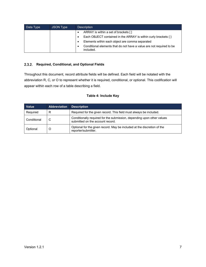| Data Type | JSON Type | <b>Description</b>                                                                |  |  |  |  |
|-----------|-----------|-----------------------------------------------------------------------------------|--|--|--|--|
|           |           | ARRAY is within a set of brackets []                                              |  |  |  |  |
|           |           | Each OBJECT contained in the ARRAY is within curly brackets { }                   |  |  |  |  |
|           |           | Elements within each object are comma separated                                   |  |  |  |  |
|           |           | Conditional elements that do not have a value are not required to be<br>included. |  |  |  |  |

#### <span id="page-12-0"></span>**Required, Conditional, and Optional Fields**

Throughout this document, record attribute fields will be defined. Each field will be notated with the abbreviation R, C, or O to represent whether it is required, conditional, or optional. This codification will appear within each row of a table describing a field.

#### **Table 4: Include Key**

| <b>Value</b> | <b>Abbreviation</b> | <b>Description</b>                                                                                         |
|--------------|---------------------|------------------------------------------------------------------------------------------------------------|
| Required     | R                   | Required for the given record. This field must always be included.                                         |
| Conditional  | C                   | Conditionally required for the submission, depending upon other values<br>submitted on the account record. |
| Optional     | O                   | Optional for the given record. May be included at the discretion of the<br>reporter/submitter.             |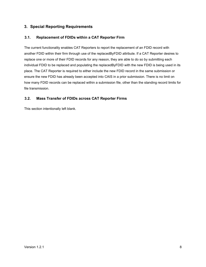# <span id="page-13-0"></span>**3. Special Reporting Requirements**

#### <span id="page-13-1"></span>**3.1. Replacement of FDIDs within a CAT Reporter Firm**

The current functionality enables CAT Reporters to report the replacement of an FDID record with another FDID within their firm through use of the replacedByFDID attribute. If a CAT Reporter desires to replace one or more of their FDID records for any reason, they are able to do so by submitting each individual FDID to be replaced and populating the replacedByFDID with the new FDID is being used in its place. The CAT Reporter is required to either include the new FDID record in the same submission or ensure the new FDID has already been accepted into CAIS in a prior submission. There is no limit on how many FDID records can be replaced within a submission file, other than the standing record limits for file transmission.

#### <span id="page-13-2"></span>**3.2. Mass Transfer of FDIDs across CAT Reporter Firms**

This section intentionally left blank.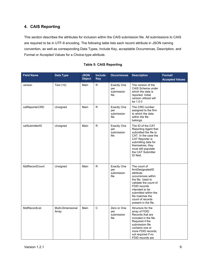# <span id="page-14-0"></span>**4. CAIS Reporting**

This section describes the attributes for inclusion within the CAIS submission file. All submissions to CAIS are required to be in UTF-8 encoding. The following table lists each record attribute in JSON naming convention, as well as corresponding Data Types, Include Key, acceptable Occurrences, Description, and Format or Accepted Values for a Choice-type attribute.

| <b>Field Name</b> | <b>Data Type</b>           | <b>JSON</b><br><b>Object</b> | Include<br><b>Key</b> | <b>Occurrences</b>                              | <b>Description</b>                                                                                                                                                                                                                          | Format/<br><b>Accepted Values</b> |
|-------------------|----------------------------|------------------------------|-----------------------|-------------------------------------------------|---------------------------------------------------------------------------------------------------------------------------------------------------------------------------------------------------------------------------------------------|-----------------------------------|
| version           | Text (10)                  | Main                         | R                     | <b>Exactly One</b><br>per<br>submission<br>file | The version of the<br>CAIS Schema under<br>which the data is<br>reported. Initial<br>version utilized will<br>be 1.0.0                                                                                                                      |                                   |
| catReporterCRD    | Unsigned                   | Main                         | R.                    | <b>Exactly One</b><br>per<br>submission<br>file | The CRD number<br>assigned to the firm<br>to which the data<br>within the file<br>belongs.                                                                                                                                                  |                                   |
| catSubmitterID    | Unsigned                   | Main                         | R.                    | <b>Exactly One</b><br>per<br>submission<br>file | The ID of the CAT<br>Reporting Agent that<br>submitted the file to<br>CAT. In the case the<br>CAT Reporter is<br>submitting data for<br>themselves, they<br>must still populate<br>the CAT Submitter<br>ID field.                           |                                   |
| fdidRecordCount   | Unsigned                   | Main                         | R                     | <b>Exactly One</b><br>per<br>submission<br>file | The count of<br>firmDesignatedID<br>attribute<br>occurrences within<br>the file. Used to<br>validate the count of<br>FDID records<br>intended to be<br>submitted within the<br>file matches the<br>count of records<br>present in the file. |                                   |
| fdidRecordList    | Multi-Dimensional<br>Array | Main                         | $\mathsf{C}$          | Zero or One<br>per<br>submission<br>file        | Structure for the<br>array of FDID<br>Records that are<br>included in the file.<br>Required if the<br>submission file<br>contains one or<br>more FDID records;<br>not required if no<br>FDID records are                                    |                                   |

#### **Table 5: CAIS Reporting**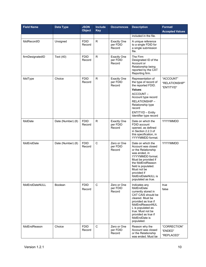| <b>Field Name</b> | <b>Data Type</b>  | <b>JSON</b><br><b>Object</b> | <b>Include</b><br><b>Key</b> | <b>Occurrences</b>                       | <b>Description</b>                                                                                                                                                                                                                               | Format/<br><b>Accepted Values</b>         |
|-------------------|-------------------|------------------------------|------------------------------|------------------------------------------|--------------------------------------------------------------------------------------------------------------------------------------------------------------------------------------------------------------------------------------------------|-------------------------------------------|
|                   |                   |                              |                              |                                          | included in the file.                                                                                                                                                                                                                            |                                           |
| fdidRecordID      | Unsigned          | <b>FDID</b><br>Record        | $\mathsf{R}$                 | <b>Exactly One</b><br>per FDID<br>Record | A unique reference<br>to a single FDID for<br>a single submission<br>file.                                                                                                                                                                       |                                           |
| firmDesignatedID  | Text (40)         | <b>FDID</b><br>Record        | R.                           | <b>Exactly One</b><br>per FDID<br>Record | The Firm<br>Designated ID of the<br>Account or<br>Relationship being<br>reported by the CAT<br>Reporting firm.                                                                                                                                   |                                           |
| fdidType          | Choice            | <b>FDID</b><br>Record        | ${\sf R}$                    | <b>Exactly One</b><br>per FDID<br>Record | Representation of<br>the type of record of<br>the reported FDID.<br>Values:<br>ACCOUNT-<br>Account type record<br>RELATIONSHIP-<br>Relationship type<br>record<br><b>ENTITYID - Entity</b><br>Identifier type record                             | "ACCOUNT"<br>"RELATIONSHIP"<br>"ENTITYID" |
| fdidDate          | Date (Number) (8) | <b>FDID</b><br>Record        | $\mathsf{R}$                 | <b>Exactly One</b><br>per FDID<br>Record | Date on which the<br>FDID account<br>opened, as defined<br>in Section 2.2.3 of<br>this specification, in<br>YYYYMMDD format.                                                                                                                     | YYYYMMDD                                  |
| fdidEndDate       | Date (Number) (8) | <b>FDID</b><br>Record        | $\mathsf C$                  | Zero or One<br>per FDID<br>Record        | Date on which the<br>Account was closed<br>or the Relationship<br>was ended, in<br>YYYYMMDD format.<br>Must be provided if<br>the fdidEndReason<br>field is populated.<br>Must not be<br>provided if<br>fdidEndDateNULL is<br>populated as true. | YYYYMMDD                                  |
| fdidEndDateNULL   | <b>Boolean</b>    | <b>FDID</b><br>Record        | $\mathbf C$                  | Zero or One<br>per FDID<br>Record        | Indicates any<br>fdidEndDate<br>currently stored in<br>CAT CAIS should be<br>cleared. Must be<br>provided as true if<br>fdidEndReasonNUL<br>L is populated as<br>true. Must not be<br>provided as true if<br>fdidEndDate is<br>populated.        | true<br>false                             |
| fdidEndReason     | Choice            | <b>FDID</b><br>Record        | $\mathsf C$                  | Zero or One<br>per FDID<br>Record        | Reason why the<br>Account was closed<br>or the Relationship<br>was ended. Must be                                                                                                                                                                | "CORRECTION"<br>"ENDED"<br>"REPLACED"     |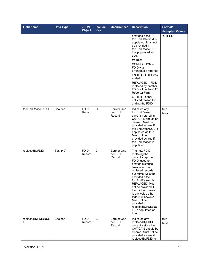| <b>Field Name</b>      | Data Type | <b>JSON</b><br><b>Object</b> | Include<br><b>Key</b> | <b>Occurrences</b>                | <b>Description</b>                                                                                                                                                                                                                                                                                                                                                                  | Format/<br><b>Accepted Values</b> |
|------------------------|-----------|------------------------------|-----------------------|-----------------------------------|-------------------------------------------------------------------------------------------------------------------------------------------------------------------------------------------------------------------------------------------------------------------------------------------------------------------------------------------------------------------------------------|-----------------------------------|
|                        |           |                              |                       |                                   | provided if the<br>fdidEndDate field is<br>populated. Must not<br>be provided if<br>fdidEndReasonNUL<br>L is populated as<br>true.<br>Values:<br>CORRECTION-<br>FDID was<br>erroneously reported<br>ENDED - FDID was<br>ended<br><b>REPLACED - FDID</b><br>replaced by another<br>FDID within the CAT<br>Reporter Firm.<br>OTHER - Other<br>unlisted reason for<br>ending the FDID  | "OTHER"                           |
| fdidEndReasonNULL      | Boolean   | <b>FDID</b><br>Record        | $\mathbf C$           | Zero or One<br>per FDID<br>Record | Indicates any<br>fdidEndReason<br>currently stored in<br>CAT CAIS should be<br>cleared. Must be<br>provided as true if<br>fdidEndDateNULL is<br>populated as true.<br>Must not be<br>provided as true if<br>fdidEndReason is<br>populated.                                                                                                                                          | true<br>false                     |
| replacedByFDID         | Text (40) | <b>FDID</b><br>Record        | $\mathsf C$           | Zero or One<br>per FDID<br>Record | The new FDID<br>replacing the<br>currently reported<br>FDID, used to<br>provide historical<br>linkage across<br>replaced records<br>over time. Must be<br>provided if the<br>fdidEndReason is<br>REPLACED. Must<br>not be provided if<br>the fdidEndReason<br>is any value other<br>than REPLACED.<br>Must not be<br>provided if<br>replacedByFDIDNU<br>LL is populated as<br>true. |                                   |
| replacedByFDIDNUL<br>L | Boolean   | <b>FDID</b><br>Record        | $\mathbf C$           | Zero or One<br>per FDID<br>Record | Indicates any<br>replacedByFDID<br>currently stored in<br>CAT CAIS should be<br>cleared. Must not be<br>provided as true if<br>replacedByFDID is                                                                                                                                                                                                                                    | true<br>false                     |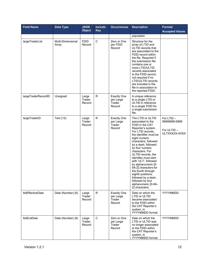| <b>Field Name</b>        | <b>Data Type</b>           | <b>JSON</b><br><b>Object</b> | Include<br><b>Key</b> | <b>Occurrences</b>                                  | <b>Description</b>                                                                                                                                                                                                                                                                                                                                                                                                                                                                        | Format/<br><b>Accepted Values</b>                           |
|--------------------------|----------------------------|------------------------------|-----------------------|-----------------------------------------------------|-------------------------------------------------------------------------------------------------------------------------------------------------------------------------------------------------------------------------------------------------------------------------------------------------------------------------------------------------------------------------------------------------------------------------------------------------------------------------------------------|-------------------------------------------------------------|
|                          |                            |                              |                       |                                                     | populated.                                                                                                                                                                                                                                                                                                                                                                                                                                                                                |                                                             |
| largeTraderList          | Multi-Dimensional<br>Array | <b>FDID</b><br>Record        | $\mathbf C$           | Zero or One<br>per FDID<br>Record                   | Structure for the<br>array of LTID and<br>ULTID records that<br>are associated to the<br>FDID record within<br>the file. Required if<br>the submission file<br>contains one or<br>more LTID/ULTID<br>records associated<br>to the FDID record;<br>not required if no<br>LTID/ULTID records<br>are included in the<br>file in association to<br>the reported FDID.                                                                                                                         |                                                             |
| largeTraderRecordID      | Unsigned                   | Large<br>Trader<br>Record    | R                     | <b>Exactly One</b><br>per Large<br>Trader<br>Record | A unique reference<br>to a single LTID or<br>ULTID in reference<br>to a single FDID for<br>a single submission<br>file.                                                                                                                                                                                                                                                                                                                                                                   |                                                             |
| largeTraderID            | Text (13)                  | Large<br>Trader<br>Record    | $\mathsf{R}$          | <b>Exactly One</b><br>per Large<br>Trader<br>Record | The LTID or ULTID<br>associated to the<br>FDID in the CAT<br>Reporter's system.<br>For LTID records.<br>the identifier must be<br>eight numeric<br>characters, followed<br>by a dash, followed<br>by four numeric<br>characters. For<br>ULTID records, the<br>identifier must start<br>with 'ULT', followed<br>by alphanumeric [0-<br>9A-Z] characters for<br>the fourth through<br>eighth positions,<br>followed by a dash,<br>followed by four<br>alphanumeric [0-9A-<br>Z] characters. | For LTID -<br>99999999-9999<br>For ULTID -<br>ULTXXXXX-XXXX |
| <b>ItidEffectiveDate</b> | Date (Number) (8)          | Large<br>Trader<br>Record    | R.                    | <b>Exactly One</b><br>per Large<br>Trader<br>Record | Date on which the<br>LTID or ULTID<br>became associated<br>to the FDID within<br>the CAT Reporter's<br>system, in<br>YYYYMMDD format.                                                                                                                                                                                                                                                                                                                                                     | YYYYMMDD                                                    |
| <b>ItidEndDate</b>       | Date (Number) (8)          | Large<br>Trader<br>Record    | $\mathsf{C}$          | Zero or One<br>per Large<br>Trader<br>Record        | Date on which the<br>LTID or ULTID was<br>no longer associated<br>to the FDID within<br>the CAT Reporter's<br>system, in<br>YYYYMMDD format.                                                                                                                                                                                                                                                                                                                                              | YYYYMMDD                                                    |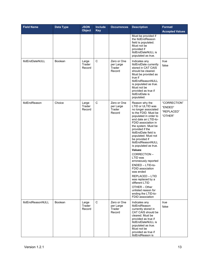| <b>Field Name</b>      | Data Type      | <b>JSON</b><br><b>Object</b> | <b>Include</b><br><b>Key</b> | <b>Occurrences</b>                           | <b>Description</b>                                                                                                                                                                                                                                                                                                                                                                                                                                                                                                                                                                   | Format/<br><b>Accepted Values</b>                |
|------------------------|----------------|------------------------------|------------------------------|----------------------------------------------|--------------------------------------------------------------------------------------------------------------------------------------------------------------------------------------------------------------------------------------------------------------------------------------------------------------------------------------------------------------------------------------------------------------------------------------------------------------------------------------------------------------------------------------------------------------------------------------|--------------------------------------------------|
|                        |                |                              |                              |                                              | Must be provided if<br>the ItidEndReason<br>field is populated.<br>Must not be<br>provided if<br>ItidEndDateNULL is<br>populated as true.                                                                                                                                                                                                                                                                                                                                                                                                                                            |                                                  |
| <b>ItidEndDateNULL</b> | <b>Boolean</b> | Large<br>Trader<br>Record    | $\mathsf C$                  | Zero or One<br>per Large<br>Trader<br>Record | Indicates any<br>ItidEndDate currently<br>stored in CAT CAIS<br>should be cleared.<br>Must be provided as<br>true if<br><b>ItidEndReasonNULL</b><br>is populated as true.<br>Must not be<br>provided as true if<br>ItidEndDate is<br>populated.                                                                                                                                                                                                                                                                                                                                      | true<br>false                                    |
| ItidEndReason          | Choice         | Large<br>Trader<br>Record    | $\mathsf C$                  | Zero or One<br>per Large<br>Trader<br>Record | Reason why the<br>LTID or ULTID was<br>no longer associated<br>to the FDID. Must be<br>populated in order to<br>end date an LTID-to-<br>FDID association in<br>the system. Must be<br>provided if the<br>ItidEndDate field is<br>populated. Must not<br>be provided if<br>ItidEndReasonNULL<br>is populated as true.<br>Values:<br>CORRECTION-<br>LTID was<br>erroneously reported<br>ENDED - LTID-to-<br>FDID association<br>was ended<br>REPLACED - LTID<br>was replaced by a<br>different LTID<br>OTHER - Other<br>unlisted reason for<br>ending the LTID-to-<br>FDID association | "CORRECTION"<br>"ENDED"<br>"REPLACED"<br>"OTHER" |
| ItidEndReasonNULL      | Boolean        | Large<br>Trader<br>Record    | $\mathbf C$                  | Zero or One<br>per Large<br>Trader<br>Record | Indicates any<br><b>ItidEndReason</b><br>currently stored in<br>CAT CAIS should be<br>cleared. Must be<br>provided as true if<br>ItidEndDateNULL is<br>populated as true.<br>Must not be<br>provided as true if<br>ItidEndReason is                                                                                                                                                                                                                                                                                                                                                  | true<br>false                                    |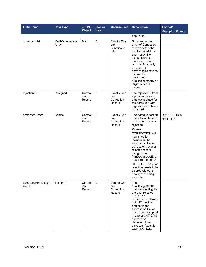| <b>Field Name</b>              | <b>Data Type</b>           | <b>JSON</b><br><b>Object</b> | <b>Include</b><br><b>Key</b> | <b>Occurrences</b>                                | <b>Description</b>                                                                                                                                                                                                                                                                                                                                                                         | Format/<br><b>Accepted Values</b> |
|--------------------------------|----------------------------|------------------------------|------------------------------|---------------------------------------------------|--------------------------------------------------------------------------------------------------------------------------------------------------------------------------------------------------------------------------------------------------------------------------------------------------------------------------------------------------------------------------------------------|-----------------------------------|
|                                |                            |                              |                              |                                                   | populated.                                                                                                                                                                                                                                                                                                                                                                                 |                                   |
| correctionList                 | Multi-Dimensional<br>Array | Main                         | $\mathsf C$                  | <b>Exactly One</b><br>per<br>Submission<br>File   | Structure for the<br>array of Correction<br>records within the<br>file. Required if the<br>submission file<br>contains one or<br>more Correction<br>records. Must only<br>be used for<br>correcting rejections<br>caused by<br>malformed<br>firmDesignatedID or<br>largeTraderID<br>values.                                                                                                |                                   |
| rejectionID                    | Unsigned                   | Correct<br>ion<br>Record     | $\mathsf{R}$                 | <b>Exactly One</b><br>per<br>Correction<br>Record | The rejectionID from<br>a prior submission<br>that was created for<br>the particular Data<br>Ingestion error being<br>corrected.                                                                                                                                                                                                                                                           |                                   |
| correctionAction               | Choice                     | Correct<br>ion<br>Record     | ${\sf R}$                    | <b>Exactly One</b><br>per<br>Correction<br>Record | The particular action<br>that is being taken to<br>correct for the prior<br>rejection.<br>Values:<br>CORRECTION - A<br>new entry is<br>included in the<br>submission file to<br>correct for the prior<br>rejected record<br>using a new<br>firmDesignatedID or<br>new largeTraderID.<br>DELETE - The prior<br>rejection needs to be<br>cleared without a<br>new record being<br>submitted. | "CORRECTION"<br>"DELETE"          |
| correctingFirmDesign<br>atedID | Text (40)                  | Correct<br>ion<br>Record     | $\mathsf C$                  | Zero or One<br>per<br>Correction<br>Record        | The<br>firmDesignatedID<br>that is correcting for<br>the prior rejected<br>FDID. The<br>correctingFirmDesig<br>natedID must be<br>present in the<br>submission file, or<br>have been accepted<br>in a prior CAT CAIS<br>submission.<br>Required if the<br>correctionAction is<br>CORRECTION.                                                                                               |                                   |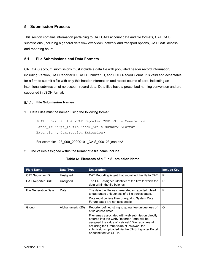# <span id="page-20-0"></span>**5. Submission Process**

This section contains information pertaining to CAT CAIS account data and file formats, CAT CAIS submissions (including a general data flow overview), network and transport options, CAT CAIS access, and reporting hours.

#### <span id="page-20-1"></span>**5.1. File Submissions and Data Formats**

CAT CAIS account submissions must include a data file with populated header record information, including Version, CAT Reporter ID, CAT Submitter ID, and FDID Record Count. It is valid and acceptable for a firm to submit a file with only this header information and record counts of zero, indicating an intentional submission of no account record data. Data files have a prescribed naming convention and are supported in JSON format.

#### <span id="page-20-2"></span>**File Submission Names**

#### 1. Data Files must be named using the following format:

<CAT Submitter ID>\_<CAT Reporter CRD>\_<File Generation Date> [<Group> ]<File Kind> <File Number>.<Format Extension>.<Compression Extension>

For example: 123\_999\_20200101\_CAIS\_000123.json.bz2

2. The values assigned within the format of a file name include:

#### **Table 6: Elements of a File Submission Name**

| <b>Field Name</b>           | Data Type         | <b>Description</b>                                                                                                                                                                                                                                                                                                                                             | <b>Include Key</b> |
|-----------------------------|-------------------|----------------------------------------------------------------------------------------------------------------------------------------------------------------------------------------------------------------------------------------------------------------------------------------------------------------------------------------------------------------|--------------------|
| <b>CAT Submitter ID</b>     | Unsigned          | CAT Reporting Agent that submitted the file to CAT.                                                                                                                                                                                                                                                                                                            | R                  |
| <b>CAT Reporter CRD</b>     | Unsigned          | The CRD assigned identifier of the firm to which the<br>data within the file belongs.                                                                                                                                                                                                                                                                          | R                  |
| <b>File Generation Date</b> | Date              | The date the file was generated or reported. Used<br>to guarantee uniqueness of a file across dates.<br>Date must be less than or equal to System Date.<br>Future dates are not acceptable.                                                                                                                                                                    | R                  |
| Group                       | Alphanumeric (20) | Reporter defined string to guarantee uniqueness of<br>a file across dates.<br>Filenames associated with web submission directly<br>entered into the CAIS Reporter Portal will be<br>assigned the value of 'caisweb'. We recommend<br>not using the Group value of 'caisweb' for<br>submissions uploaded via the CAIS Reporter Portal<br>or submitted via SFTP. | O                  |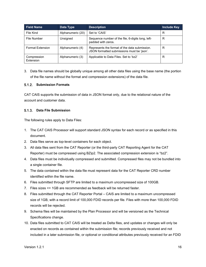| <b>Field Name</b>        | Data Type         | <b>Description</b>                                                                          | <b>Include Key</b> |
|--------------------------|-------------------|---------------------------------------------------------------------------------------------|--------------------|
| File Kind                | Alphanumeric (20) | Set to 'CAIS'                                                                               | R                  |
| File Number              | Unsigned          | Sequence number of the file, 6-digits long, left-<br>padded with zeros.                     | R                  |
| <b>Format Extension</b>  | Alphanumeric (4)  | Represents the format of the data submission.<br>JSON formatted submissions must be 'json'. | R                  |
| Compression<br>Extension | Alphanumeric (3)  | Applicable to Data Files. Set to 'bz2'                                                      | R                  |

3. Data file names should be globally unique among all other data files using the base name (the portion of the file name without the format and compression extensions) of the data file.

#### <span id="page-21-0"></span>**Submission Formats**

CAT CAIS supports the submission of data in JSON format only, due to the relational nature of the account and customer data.

#### <span id="page-21-1"></span>**Data File Submission**

The following rules apply to Data Files:

- 1. The CAT CAIS Processor will support standard JSON syntax for each record or as specified in this document.
- 2. Data files serve as top-level containers for each object.
- 3. All data files sent from the CAT Reporter (or the third-party CAT Reporting Agent for the CAT Reporter) must be compressed using BZip2. The associated compression extension is "bz2".
- 4. Data files must be individually compressed and submitted. Compressed files may not be bundled into a single container file.
- 5. The data contained within the data file must represent data for the CAT Reporter CRD number identified within the file name.
- 6. Files submitted through SFTP are limited to a maximum uncompressed size of 100GB.
- 7. Files sizes <= 1GB are recommended as feedback will be returned faster.
- 8. Files submitted through the CAT Reporter Portal CAIS are limited to a maximum uncompressed size of 1GB, with a record limit of 100,000 FDID records per file. Files with more than 100,000 FDID records will be rejected.
- 9. Schema files will be maintained by the Plan Processor and will be versioned as the Technical Specifications change.
- 10. Data files submitted to CAT CAIS will be treated as Delta files, and updates or changes will only be enacted on records as contained within the submission file; records previously received and not included in a later submission file, or optional or conditional attributes previously received for an FDID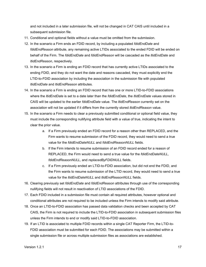and not included in a later submission file, will not be changed in CAT CAIS until included in a subsequent submission file.

- 11. Conditional and optional fields without a value must be omitted from the submission.
- 12. In the scenario a Firm ends an FDID record, by including a populated *fdidEndDate* and *fdidEndReason* attribute, any remaining active LTIDs associated to the ended FDID will be ended on behalf of the Firm. The *fdidEndDate* and *fdidEndReason* will be cascaded as the *ltidEndDate* and *ltidEndReason*, respectively.
- 13. In the scenario a Firm is ending an FDID record that has currently active LTIDs associated to the ending FDID, and they do not want the date and reasons cascaded, they must explicitly end the LTID-to-FDID association by including the association in the submission file with populated *ltidEndDate* and *ltidEndReason* attributes.
- 14. In the scenario a Firm is ending an FDID record that has one or more LTID-to-FDID associations where the *ltidEndDate* is set to a date later than the *fdidEndDate*, the *ltidEndDate* values stored in CAIS will be updated to the earlier *fdidEndDate* value. The *ltidEndReason* currently set on the association will not be updated if it differs from the currently stored *ltidEndReason* value.
- 15. In the scenario a Firm needs to clear a previously submitted conditional or optional field value, they must include the corresponding nullifying attribute field with a value of true, indicating the intent to clear the prior value.
	- a. If a Firm previously ended an FDID record for a reason other than REPLACED, and the Firm wants to resume submission of the FDID record, they would need to send a true value for the *fdidEndDateNULL* and *fdidEndReasonNULL* fields.
	- b. If the Firm intends to resume submission of an FDID record ended for a reason of REPLACED, the Firm would need to send a true value for the *fdidEndDateNULL*, *fdidEndReasonNULL*, and *replacedByFDIDNULL* fields.
	- c. If a Firm previously ended an LTID-to-FDID association, but did not end the FDID, and the Firm wants to resume submission of the LTID record, they would need to send a true value for the *ltidEndDateNULL* and *ltidEndReasonNULL* fields.
- 16. Clearing previously set *fdidEndDate* and *fdidEndReason* attributes through use of the corresponding nullifying fields will not result in reactivation of LTID associations of the FDID.
- 17. Each FDID included in a submission file must contain all required attributes, however optional and conditional attributes are not required to be included unless the Firm intends to modify said attribute.
- 18. Once an LTID-to-FDID association has passed data validation checks and been accepted by CAT CAIS, the Firm is not required to include the LTID-to-FDID association in subsequent submission files unless the Firm intends to end or modify said LTID-to-FDID association.
- 19. If an LTID is associated to multiple FDID records within a single CAT Reporter Firm, the LTID-to-FDID association must be submitted for each FDID. The associations may be submitted within a single submission file or across multiple submission files as associations are established.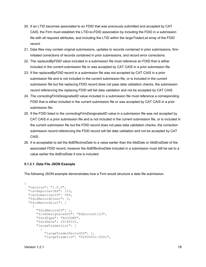- 20. If an LTID becomes associated to an FDID that was previously submitted and accepted by CAT CAIS, the Firm must establish the LTID-to-FDID association by including the FDID in a submission file with all required attributes, and including the LTID within the *largeTraderList* array of the FDID record.
- 21. Data files may contain original submissions, updates to records contained in prior submissions, firminitiated corrections of records contained in prior submissions, and record error corrections.
- 22. The *replacedByFDID* value included in a submission file must reference an FDID that is either included in the current submission file or was accepted by CAT CAIS in a prior submission file.
- 23. If the *replacedByFDID* record in a submission file was not accepted by CAT CAIS in a prior submission file and is not included in the current submission file, or is included in the current submission file but the replacing FDID record does not pass data validation checks, the submission record referencing the replacing FDID will fail data validation and not be accepted by CAT CAIS.
- 24. The *correctingFirmDesignatedID* value included in a submission file must reference a corresponding FDID that is either included in the current submission file or was accepted by CAT CAIS in a prior submission file.
- 25. If the FDID listed in the *correctingFirmDesignatedID* value in a submission file was not accepted by CAT CAIS in a prior submission file and is not included in the current submission file, or is included in the current submission file but the FDID record does not pass data validation checks, the correction submission record referencing the FDID record will fail data validation and not be accepted by CAT CAIS.
- 26. It is acceptable to set the *ltidEffectiveDate* to a value earlier than the *fdidDate* or *fdidEndDate* of the associated FDID record, however the *ltidEffectiveDate* included in a submission must still be set to a value earlier the *ltidEndDate* if one is included.

#### **5.1.3.1. Data File JSON Example**

The following JSON example demonstrates how a Firm would structure a data file submission.

```
{
  "version": "1.0.0",
  "catReporterCRD": 123,
  "catSubmitterID": 999,
  "fdidRecordCount": 3,
  "fdidRecordList": [
     {
      "fdidRecordID": 1, 
      "firmDesignatedID": "EZAccount123",
       "fdidType": "ACCOUNT",
       "fdidDate": 20190101,
       "largeTraderList": [
\{ "largeTraderRecordID": 1,
           "largeTraderID": "ULT00001-0001",
```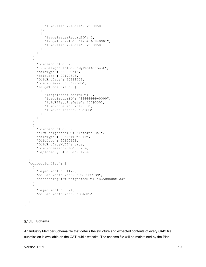```
 "ltidEffectiveDate": 20190501
         },
\{ "largeTraderRecordID": 2,
           "largeTraderID": "12345678-0001",
           "ltidEffectiveDate": 20190501
 }
      ]
     },
     {
       "fdidRecordID": 2,
      "firmDesignatedID": "MyTestAccount",
      "fdidType": "ACCOUNT",
      "fdidDate": 20170308,
       "fdidEndDate": 20191201,
       "fdidEndReason": "ENDED",
       "largeTraderList": [
\{ "largeTraderRecordID": 1,
           "largeTraderID": "99999999-0000",
           "ltidEffectiveDate": 20190501,
           "ltidEndDate": 20191130,
           "ltidEndReason": "ENDED"
 }
       ]
    },
     {
      "fdidRecordID": 3,
      "firmDesignatedID": "InternalRel",
       "fdidType": "RELATIONSHIP",
       "fdidDate": 20150121,
       "fdidEndDateNULL": true,
      "fdidEndReasonNULL": true,
      "replacedByFDIDNULL": true
    }
  ],
  "correctionList": [
    {
      "rejectionID": 1127,
       "correctionAction": "CORRECTION",
       "correctingFirmDesignatedID": "EZAccount123"
    },
     {
       "rejectionID": 821,
       "correctionAction": "DELETE"
     }
  ]
```
#### <span id="page-24-0"></span>**Schema**

}

An Industry Member Schema file that details the structure and expected contents of every CAIS file submission is available on the CAT public website. The schema file will be maintained by the Plan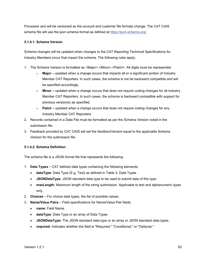Processor and will be versioned as the account and customer file formats change. The CAT CAIS schema file will use the json schema format as defined at [https://json-schema.org/.](https://json-schema.org/)

#### **5.1.4.1. Schema Version**

Schema changes will be updated when changes to the CAT Reporting Technical Specifications for Industry Members occur that impact the schema. The following rules apply:

- 1. The Schema Version is formatted as <Major>.<Minor>.<Patch>. All digits must be represented.
	- o **Major –** updated when a change occurs that impacts all or a significant portion of Industry Member CAT Reporters. In such cases, the schema is not be backward compatible and will be specified accordingly.
	- o **Minor –** updated when a change occurs that does not require coding changes for all Industry Member CAT Reporters. In such cases, the schema is backward compatible with support for previous version(s) as specified.
	- o **Patch –** updated when a change occurs that does not require coding changes for any Industry Member CAT Reporters.
- 2. Records contained in a Data File must be formatted as per the Schema Version noted in the submission file.
- 3. Feedback provided by CAT CAIS will set the *feedbackVersion* equal to the applicable Schema Version for the submission file.

#### **5.1.4.2. Schema Definition**

The schema file is a JSON format file that represents the following:

- 1. **Data Types** CAT defined data types containing the following elements:
	- **dataType**: Data Type (E.g. Text) as defined in Table 3: Data Types
	- **JSONDataType**: JSON standard data type to be used to submit data of this type.
	- **maxLength**: Maximum length of the string submission. Applicable to text and alphanumeric types only.
- 2. **Choices** For choice data types, the list of possible values.
- 3. **Name/Value Pairs**  Field specifications for Name/Value Pair fields.
	- **name**: Field Name.
	- **dataType**: Data Type or an array of Data Types.
	- **JSONDataType**: The JSON standard data type or an array or JSON standard data types.
	- **required**: Indicates whether the field is "Required," "Conditional," or "Optional."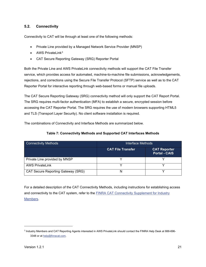#### <span id="page-26-0"></span>**5.2. Connectivity**

Connectivity to CAT will be through at least one of the following methods:

- Private Line provided by a Managed Network Service Provider (MNSP)
- AWS PrivateLink<sup>[3](#page-26-1)</sup>
- CAT Secure Reporting Gateway (SRG) Reporter Portal

Both the Private Line and AWS PrivateLink connectivity methods will support the CAT File Transfer service, which provides access for automated, machine-to-machine file submissions, acknowledgements, rejections, and corrections using the Secure File Transfer Protocol (SFTP) service as well as to the CAT Reporter Portal for interactive reporting through web-based forms or manual file uploads.

The CAT Secure Reporting Gateway (SRG) connectivity method will only support the CAT Report Portal. The SRG requires multi-factor authentication (MFA) to establish a secure, encrypted session before accessing the CAT Reporter Portal. The SRG requires the use of modern browsers supporting HTML5 and TLS (Transport Layer Security). No client software installation is required.

The combinations of Connectivity and Interface Methods are summarized below.

#### **Table 7: Connectivity Methods and Supported CAT Interfaces Methods**

| <b>Connectivity Methods</b>               | Interface Methods        |                                             |  |  |
|-------------------------------------------|--------------------------|---------------------------------------------|--|--|
|                                           | <b>CAT File Transfer</b> | <b>CAT Reporter</b><br><b>Portal - CAIS</b> |  |  |
| Private Line provided by MNSP             |                          |                                             |  |  |
| <b>AWS PrivateLink</b>                    |                          |                                             |  |  |
| <b>CAT Secure Reporting Gateway (SRG)</b> | N                        |                                             |  |  |

For a detailed description of the CAT Connectivity Methods, including instructions for establishing access and connectivity to the CAT system, refer to the [FINRA CAT Connectivity Supplement for Industry](https://www.catnmsplan.com/transaction-registration)  [Members.](https://www.catnmsplan.com/transaction-registration)

<span id="page-26-1"></span><sup>3</sup> Industry Members and CAT Reporting Agents interested in AWS PrivateLink should contact the FINRA Help Desk at 888-696 3348 or a[t help@finracat.com.](mailto:help@finracat.com)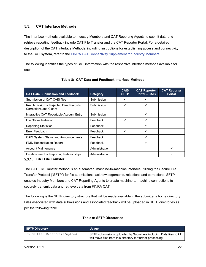#### <span id="page-27-0"></span>**5.3. CAT Interface Methods**

The interface methods available to Industry Members and CAT Reporting Agents to submit data and retrieve reporting feedback include CAT File Transfer and the CAT Reporter Portal. For a detailed description of the CAT Interface Methods, including instructions for establishing access and connectivity to the CAT system, refer to the [FINRA CAT Connectivity Supplement for Industry Members.](https://www.catnmsplan.com/transaction-registration)

The following identifies the types of CAT information with the respective interface methods available for each:

<span id="page-27-2"></span>

| <b>CAT Data Submission and Feedback</b>                                  | Category       | <b>CAIS</b><br><b>SFTP</b> | <b>CAT Reporter</b><br><b>Portal - CAIS</b> | <b>CAT Reporter</b><br><b>Portal</b> |
|--------------------------------------------------------------------------|----------------|----------------------------|---------------------------------------------|--------------------------------------|
| Submission of CAT CAIS files                                             | Submission     | ✓                          | ✓                                           |                                      |
| Resubmission of Rejected Files/Records,<br><b>Corrections and Clears</b> | Submission     | ✓                          | ✓                                           |                                      |
| Interactive CAT Reportable Account Entry                                 | Submission     |                            | ✓                                           |                                      |
| <b>File Status Retrieval</b>                                             | Feedback       | ✓                          | ✓                                           |                                      |
| <b>Reporting Statistics</b>                                              | Feedback       |                            | ✓                                           |                                      |
| Error Feedback                                                           | Feedback       | ✓                          | ✓                                           |                                      |
| CAIS System Status and Announcements                                     | Feedback       |                            | ✓                                           |                                      |
| <b>FDID Reconciliation Report</b>                                        | Feedback       |                            | ✓                                           |                                      |
| <b>Account Maintenance</b>                                               | Administration |                            |                                             | ✓                                    |
| <b>Establishment of Reporting Relationships</b>                          | Administration |                            |                                             | ✓                                    |

#### **Table 8: CAT Data and Feedback Interface Methods**

#### <span id="page-27-1"></span>**CAT File Transfer**

The CAT File Transfer method is an automated, machine-to-machine interface utilizing the Secure File Transfer Protocol ("SFTP") for file submissions, acknowledgements, rejections and corrections. SFTP enables Industry Members and CAT Reporting Agents to create machine-to-machine connections to securely transmit data and retrieve data from FINRA CAT.

The following is the SFTP directory structure that will be made available in the submitter's home directory. Files associated with data submissions and associated feedback will be uploaded in SFTP directories as per the following table.

#### **Table 9: SFTP Directories**

| <b>SFTP Directory</b>        | Usage                                                                                                                            |
|------------------------------|----------------------------------------------------------------------------------------------------------------------------------|
| /submitterID/cat/cais/upload | SFTP submissions uploaded by Submitters including Data files. CAT<br>will move files from this directory for further processing. |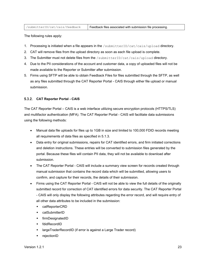| /submitterID/cat/cais/feedback | Feedback files associated with submission file processing. |
|--------------------------------|------------------------------------------------------------|
|--------------------------------|------------------------------------------------------------|

The following rules apply:

- 1. Processing is initiated when a file appears in the /submitterID/cat/cais/upload directory.
- 2. CAT will remove files from the upload directory as soon as each file upload is complete.
- 3. The Submitter must not delete files from the /submitterID/cat/cais/upload directory.
- 4. Due to the PII considerations of the account and customer data, a copy of uploaded files will not be made available to the Reporter or Submitter after submission.
- 5. Firms using SFTP will be able to obtain Feedback Files for files submitted through the SFTP, as well as any files submitted through the CAT Reporter Portal - CAIS through either file upload or manual submission.

#### <span id="page-28-0"></span>**CAT Reporter Portal - CAIS**

The CAT Reporter Portal – CAIS is a web interface utilizing secure encryption protocols (HTTPS/TLS) and multifactor authentication (MFA). The CAT Reporter Portal - CAIS will facilitate data submissions using the following methods:

- Manual data file uploads for files up to 1GB in size and limited to 100,000 FDID records meeting all requirements of data files as specified in [5.1.3.](#page-21-1)
- Data entry for original submissions, repairs for CAT identified errors, and firm initiated corrections and deletion instructions. These entries will be converted to submission files generated by the portal. Because these files will contain PII data, they will not be available to download after submission.
- The CAT Reporter Portal CAIS will include a summary view screen for records created through manual submission that contains the record data which will be submitted, allowing users to confirm, and capture for their records, the details of their submission.
- Firms using the CAT Reporter Portal CAIS will not be able to view the full details of the originally submitted record for correction of CAT identified errors for data security. The CAT Reporter Portal - CAIS will only display the following attributes regarding the error record, and will require entry of all other data attributes to be included in the submission:
	- catReporterCRD
	- catSubmitterID
	- **+** firmDesignatedID
	- fdidRecordID
	- largeTraderRecordID (if error is against a Large Trader record)
	- rejectionID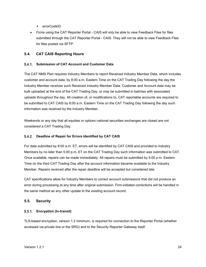- ◆ errorCodeID
- Firms using the CAT Reporter Portal CAIS will only be able to view Feedback Files for files submitted through the CAT Reporter Portal - CAIS. They will not be able to view Feedback Files for files posted via SFTP.

#### <span id="page-29-0"></span>**5.4. CAT CAIS Reporting Hours**

#### <span id="page-29-1"></span>**Submission of CAT Account and Customer Data**

The CAT NMS Plan requires Industry Members to report Received Industry Member Data, which includes customer and account data, by 8:00 a.m. Eastern Time on the CAT Trading Day following the day the Industry Member receives such Received Industry Member Data. Customer and Account data may be bulk uploaded at the end of the CAT Trading Day, or may be submitted in batches with associated uploads throughout the day. All creation of, or modifications to, CAT reportable accounts are required to be submitted to CAT CAIS by 8:00 a.m. Eastern Time on the CAT Trading Day following the day such information was received by the Industry Member.

Weekends or any day that all equities or options national securities exchanges are closed are not considered a CAT Trading Day.

#### <span id="page-29-2"></span>**Deadline of Repair for Errors Identified by CAT CAIS**

For data submitted by 8:00 a.m. ET, errors will be identified by CAT CAIS and provided to Industry Members by no later than 5:00 p.m. ET on the CAT Trading Day such information was submitted to CAT. Once available, repairs can be made immediately. All repairs must be submitted by 5:00 p.m. Eastern Time on the third CAT Trading Day after the account information became available to the Industry Member. Repairs received after the repair deadline will be accepted but considered late.

CAT specifications allow for Industry Members to correct account submissions that did not produce an error during processing at any time after original submission. Firm-initiated corrections will be handled in the same method as any other update to the existing account record.

#### <span id="page-29-3"></span>**5.5. Security**

#### <span id="page-29-4"></span>**Encryption (In-transit)**

TLS-based encryption, version 1.2 minimum, is required for connection to the Reporter Portal (whether accessed via private line or the SRG) and to the Security Reporter Gateway itself.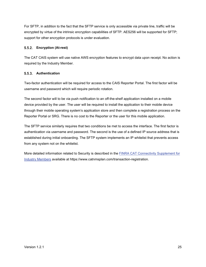For SFTP, in addition to the fact that the SFTP service is only accessible via private line, traffic will be encrypted by virtue of the intrinsic encryption capabilities of SFTP. AES256 will be supported for SFTP; support for other encryption protocols is under evaluation.

#### <span id="page-30-0"></span>**Encryption (At-rest)**

The CAT CAIS system will use native AWS encryption features to encrypt data upon receipt. No action is required by the Industry Member.

#### <span id="page-30-1"></span>**Authentication**

Two-factor authentication will be required for access to the CAIS Reporter Portal. The first factor will be username and password which will require periodic rotation.

The second factor will to be via push notification to an off-the-shelf application installed on a mobile device provided by the user. The user will be required to install the application to their mobile device through their mobile operating system's application store and then complete a registration process on the Reporter Portal or SRG. There is no cost to the Reporter or the user for this mobile application.

The SFTP service similarly requires that two conditions be met to access the interface. The first factor is authentication via username and password. The second is the use of a defined IP source address that is established during initial onboarding. The SFTP system implements an IP whitelist that prevents access from any system not on the whitelist.

More detailed information related to Security is described in the **FINRA CAT Connectivity Supplement for** [Industry Members](https://www.catnmsplan.com/transaction-registration) available at https://www.catnmsplan.com/transaction-registration.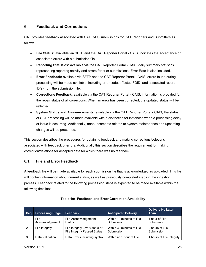# <span id="page-31-0"></span>**6. Feedback and Corrections**

CAT provides feedback associated with CAT CAIS submissions for CAT Reporters and Submitters as follows:

- **File Status:** available via SFTP and the CAT Reporter Portal CAIS, indicates the acceptance or associated errors with a submission file.
- **Reporting Statistics:** available via the CAT Reporter Portal CAIS, daily summary statistics representing reporting activity and errors for prior submissions. Error Rate is also included.
- **Error Feedback:** available via SFTP and the CAT Reporter Portal CAIS, errors found during processing will be made available, including error code, affected FDID, and associated record ID(s) from the submission file.
- **Corrections Feedback:** available via the CAT Reporter Portal CAIS, information is provided for the repair status of all corrections. When an error has been corrected, the updated status will be reflected.
- **System Status and Announcements:** available via the CAT Reporter Portal CAIS, the status of CAT processing will be made available with a distinction for instances when a processing delay or issue is occurring. Additionally, announcements related to system maintenance and upcoming changes will be presented.

This section describes the procedures for obtaining feedback and making corrections/deletions associated with feedback of errors. Additionally this section describes the requirement for making correction/deletions for accepted data for which there was no feedback.

# <span id="page-31-1"></span>**6.1. File and Error Feedback**

A feedback file will be made available for each submission file that is acknowledged as uploaded. This file will contain information about current status, as well as previously completed steps in the ingestion process. Feedback related to the following processing steps is expected to be made available within the following timelines:

| <b>Seq</b> | <b>Processing Stage</b> | <b>Feedback</b>                                                       | <b>Anticipated Delivery</b>             | <b>Delivery No Later</b><br>Than |
|------------|-------------------------|-----------------------------------------------------------------------|-----------------------------------------|----------------------------------|
|            | File<br>Acknowledgement | File Acknowledgement<br>Status                                        | Within 10 minutes of File<br>Submission | 1 hour of File<br>Submission     |
| -2         | File Integrity          | File Integrity Error Status or<br><b>File Integrity Passed Status</b> | Within 30 minutes of File<br>Submission | 2 hours of File<br>Submission    |
| -3         | Data Validation         | Data Errors including syntax                                          | Within an 1 hour of File                | 4 hours of File Integrity        |

#### **Table 10: Feedback and Error Correction Availability**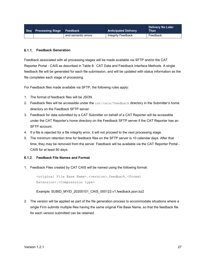| Seq Processing Stage Feedback |                     | <b>Anticipated Delivery</b> | <b>Delivery No Later</b><br><b>Than</b> |
|-------------------------------|---------------------|-----------------------------|-----------------------------------------|
|                               | and semantic errors | Integrity Feedback          | Feedback                                |

#### <span id="page-32-0"></span>**Feedback Generation**

Feedback associated with all processing stages will be made available via SFTP and/or the CAT Reporter Portal - CAIS as described in [Table 8: CAT Data and Feedback Interface](#page-27-2) Methods. A single feedback file will be generated for each file submission, and will be updated with status information as the file completes each stage of processing.

For Feedback files made available via SFTP, the following rules apply:

- 1. The format of feedback files will be JSON.
- 2. Feedback files will be accessible under the cat/cais/feedback directory in the Submitter's home directory on the Feedback SFTP server.
- 3. Feedback for data submitted by a CAT Submitter on behalf of a CAT Reporter will be accessible under the CAT Reporter's home directory on the Feedback SFTP server if the CAT Reporter has an SFTP account.
- 4. If a file is rejected for a file integrity error, it will not proceed to the next processing stage.
- 5. The minimum retention time for feedback files on the SFTP server is 10 calendar days. After that time, they may be removed from the server. Feedback will be available via the CAT Reporter Portal - CAIS for at least 90 days.

#### <span id="page-32-1"></span>**Feedback File Names and Format**

1. Feedback Files created by CAT CAIS will be named using the following format:

<original File Base Name>.<version>.feedback.<Format Extension>.<Compression type>

Example: SUBID\_MYID\_20200101\_CAIS\_000123.v1.feedback.json.bz2

2. The version will be applied as part of the file generation process to accommodate situations where a single Firm submits multiple files having the same original File Base Name, so that the feedback file for each version submitted can be retained.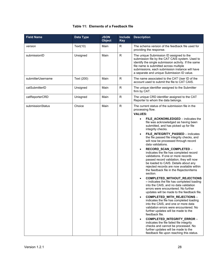#### **Table 11: Elements of a Feedback file**

| <b>Field Name</b> | Data Type  | <b>JSON</b><br><b>Object</b> | <b>Include</b><br><b>Key</b> | <b>Description</b>                                                                                                                                                                                                                                                                                                                                                                                                                                                                                                                                                                                                                                                                                                                                                                                                                                                                                                                                                                                                                                                                                                                                                                                                                                                                                                                                                             |
|-------------------|------------|------------------------------|------------------------------|--------------------------------------------------------------------------------------------------------------------------------------------------------------------------------------------------------------------------------------------------------------------------------------------------------------------------------------------------------------------------------------------------------------------------------------------------------------------------------------------------------------------------------------------------------------------------------------------------------------------------------------------------------------------------------------------------------------------------------------------------------------------------------------------------------------------------------------------------------------------------------------------------------------------------------------------------------------------------------------------------------------------------------------------------------------------------------------------------------------------------------------------------------------------------------------------------------------------------------------------------------------------------------------------------------------------------------------------------------------------------------|
| version           | Text(10)   | Main                         | R.                           | The schema version of the feedback file used for<br>providing the response.                                                                                                                                                                                                                                                                                                                                                                                                                                                                                                                                                                                                                                                                                                                                                                                                                                                                                                                                                                                                                                                                                                                                                                                                                                                                                                    |
| submissionID      | Unsigned   | Main                         | $\mathsf{R}$                 | The unique Submission ID assigned to the<br>submission file by the CAT CAIS system. Used to<br>identify the single submission activity. If the same<br>file name is submitted across multiple<br>submissions, each submission instance will have<br>a separate and unique Submission ID value.                                                                                                                                                                                                                                                                                                                                                                                                                                                                                                                                                                                                                                                                                                                                                                                                                                                                                                                                                                                                                                                                                 |
| submitterUsername | Text (200) | Main                         | R.                           | The name associated to the CAT User ID of the<br>account used to submit the file to CAT CAIS.                                                                                                                                                                                                                                                                                                                                                                                                                                                                                                                                                                                                                                                                                                                                                                                                                                                                                                                                                                                                                                                                                                                                                                                                                                                                                  |
| catSubmitterID    | Unsigned   | Main                         | $\mathsf{R}$                 | The unique identifier assigned to the Submitter<br>firm by CAT.                                                                                                                                                                                                                                                                                                                                                                                                                                                                                                                                                                                                                                                                                                                                                                                                                                                                                                                                                                                                                                                                                                                                                                                                                                                                                                                |
| catReporterCRD    | Unisgned   | Main                         | R                            | The unique CRD identifier assigned to the CAT<br>Reporter to whom the data belongs.                                                                                                                                                                                                                                                                                                                                                                                                                                                                                                                                                                                                                                                                                                                                                                                                                                                                                                                                                                                                                                                                                                                                                                                                                                                                                            |
| submissionStatus  | Choice     | Main                         | $\mathsf{R}$                 | The current status of the submission file in the<br>processing flow.<br><b>VALUES:</b><br>FILE ACKNOWLEDGED - indicates the<br>file was acknowledged as having been<br>submitted, and has picked up for file<br>integrity checks.<br>FILE_INTEGRITY_PASSED - indicates<br>$\bullet$<br>the file passed file integrity checks, and<br>will now be processed through record<br>data validations.<br>RECORD_SCAN_COMPLETED -<br>$\bullet$<br>indicates the file has completed record<br>validations. If one or more records<br>passed record validation, they will now<br>be loaded to CAIS. Details about any<br>rejected records are now available within<br>the feedback file in the RejectionItems<br>section.<br>COMPLETED_WITHOUT_REJECTIONS<br>- indicates the file has completed loading<br>into the CAIS, and no data validation<br>errors were encountered. No further<br>updates will be made to the feedback file.<br>COMPLETED_WITH_REJECTIONS -<br>$\bullet$<br>indicates the file has completed loading<br>into the CAIS, and one or more data<br>validation errors were encountered. No<br>further updates will be made to the<br>feedback file.<br>COMPLETED_INTEGRITY_ERROR -<br>$\bullet$<br>indicates the file failed file integrity<br>checks and cannot be processed. No<br>further updates will be made to the<br>feedback file upon reaching this status. |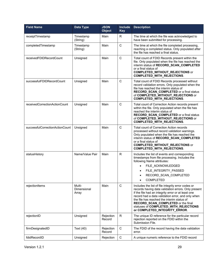| <b>Field Name</b>               | <b>Data Type</b>               | <b>JSON</b><br><b>Object</b> | <b>Include</b><br><b>Key</b> | <b>Description</b>                                                                                                                                                                                                                                                                                                                                                                 |
|---------------------------------|--------------------------------|------------------------------|------------------------------|------------------------------------------------------------------------------------------------------------------------------------------------------------------------------------------------------------------------------------------------------------------------------------------------------------------------------------------------------------------------------------|
| receiptTimestamp                | Timestamp<br>(String)          | Main                         | R                            | The time at which the file was acknowledged to<br>have been submitted for processing.                                                                                                                                                                                                                                                                                              |
| completedTimestamp              | Timestamp<br>(String)          | Main                         | $\mathsf C$                  | The time at which the file completed processing,<br>reaching a completed status. Only populated after<br>the file has reached a final status.                                                                                                                                                                                                                                      |
| receivedFDIDRecordCount         | Unsigned                       | Main                         | $\mathsf{C}$                 | Total count of FDID Records present within the<br>file. Only populated when the file has reached the<br>interim status of RECORD_SCAN_COMPLETED<br>or a final status of<br><b>COMPLETED_WITHOUT_REJECTIONS</b> or<br>COMPLETED_WITH_REJECTIONS.                                                                                                                                    |
| successfulFDIDRecordCount       | Unsigned                       | Main                         | C                            | Total count of FDID Records processed without<br>record validation errors. Only populated when the<br>file has reached the interim status of<br>RECORD_SCAN_COMPLETED or a final status<br>of COMPLETED_WITHOUT_REJECTIONS or<br><b>COMPLETED_WITH_REJECTIONS.</b>                                                                                                                 |
| receivedCorrectionActionCount   | Unsigned                       | Main                         | C                            | Total count of Correction Action records present<br>within the file. Only populated when the file has<br>reached the interim status of<br>RECORD_SCAN_COMPLETED or a final status<br>of COMPLETED_WITHOUT_REJECTIONS or<br><b>COMPLETED_WITH_REJECTIONS.</b>                                                                                                                       |
| successfulCorrectionActionCount | Unsigned                       | Main                         | C                            | Total count of Correction Action records<br>processed without record validation warnings.<br>Only populated when the file has reached the<br>interim status of RECORD_SCAN_COMPLETED<br>or a final status of<br><b>COMPLETED_WITHOUT_REJECTIONS</b> or<br><b>COMPLETED_WITH_REJECTIONS.</b>                                                                                        |
| statusHistory                   | Name/Value Pair                | Main                         | R.                           | Includes the list of events and corresponding<br>timestamps from file processing. Includes the<br>following Name attributes:<br>FILE ACKNOWLEDGED<br>FILE_INTEGRITY_PASSED<br>RECORD_SCAN_COMPLETED<br><b>COMPLETED</b>                                                                                                                                                            |
| rejectionItems                  | Multi-<br>Dimensional<br>Array | Main                         | $\mathsf{C}$                 | Includes the list of file integrity error codes or<br>records having data validation errors. Only present<br>if the file had an integrity error or at least one<br>record had a data validation error, and only when<br>the file has reached the interim status of<br>RECORD_SCAN_COMPLETED or the final<br>statuses of COMPLETED_WITH_REJECTIONS<br>or COMPLETED_INTEGRITY_ERROR. |
| rejectionID                     | Unsigned                       | Rejection<br>Record          | R                            | The unique ID reference for the particular record<br>rejection reported on the FDID within the<br>Submission File.                                                                                                                                                                                                                                                                 |
| firmDesignatedID                | Text (40)                      | Rejection<br>Record          | $\mathsf C$                  | The FDID of the record having the data validation<br>error.                                                                                                                                                                                                                                                                                                                        |
| fdidRecordID                    | Unsigned                       | Rejection                    | $\mathsf C$                  | A unique numeric reference to the FDID record                                                                                                                                                                                                                                                                                                                                      |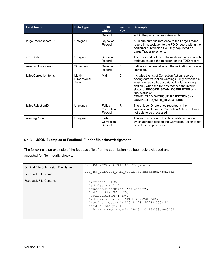| <b>Field Name</b>     | Data Type                      | <b>JSON</b><br><b>Object</b>   | <b>Include</b><br><b>Key</b> | <b>Description</b>                                                                                                                                                                                                                                                                                                                                   |
|-----------------------|--------------------------------|--------------------------------|------------------------------|------------------------------------------------------------------------------------------------------------------------------------------------------------------------------------------------------------------------------------------------------------------------------------------------------------------------------------------------------|
|                       |                                | Record                         |                              | within the particular submission file.                                                                                                                                                                                                                                                                                                               |
| largeTraderRecordID   | Unsigned                       | Rejection<br>Record            | $\mathsf{C}$                 | A unique numeric reference to the Large Trader<br>record in association to the FDID record within the<br>particular submission file. Only populated on<br>Large Trader rejections.                                                                                                                                                                   |
| errorCode             | Unsigned                       | Rejection<br>Record            | R.                           | The error code of the data validation, noting which<br>attribute caused the rejection for the FDID record.                                                                                                                                                                                                                                           |
| rejectionTimestamp    | Timestamp                      | Rejection<br>Record            | R.                           | Indicates the time at which the validation error was<br>identified.                                                                                                                                                                                                                                                                                  |
| failedCorrectionItems | Multi-<br>Dimensional<br>Array | Main                           | $\mathsf{C}$                 | Includes the list of Correction Action records<br>having data validation warnings. Only present if at<br>least one record had a data validation warning,<br>and only when the file has reached the interim<br>status of RECORD_SCAN_COMPLETED or a<br>final status of<br><b>COMPLETED_WITHOUT_REJECTIONS</b> or<br><b>COMPLETED_WITH_REJECTIONS.</b> |
| failedRejectionID     | Unsigned                       | Failed<br>Correction<br>Record | R.                           | The unique ID reference reported in the<br>submission file for the Correction Action that was<br>not able to be processed.                                                                                                                                                                                                                           |
| warningCode           | Unsigned                       | Failed<br>Correction<br>Record | R.                           | The warning code of the data validation, noting<br>which attribute caused the Correction Action to not<br>be able to be processed.                                                                                                                                                                                                                   |

# <span id="page-35-0"></span>**JSON Examples of Feedback File for file acknowledgement**

The following is an example of the feedback file after the submission has been acknowledged and accepted for file integrity checks:

| Original File Submission File Name | 123 456 20200204 CAIS 000123.json.bz2                                                                                                                                                                                                                                                                      |
|------------------------------------|------------------------------------------------------------------------------------------------------------------------------------------------------------------------------------------------------------------------------------------------------------------------------------------------------------|
| Feedback File Name                 | 123 456 20200204 CAIS 000123.v1.feedback.json.bz2                                                                                                                                                                                                                                                          |
| <b>Feedback File Contents</b>      | "version": " $1.0.0$ ",<br>"submissionID": 7,<br>"submitterUserName": "caisimusr",<br>"catSubmitterID": 123,<br>"catReporterCRD": 456,<br>"submissionStatus": "FILE ACKNOWLEDGED",<br>"receiptTimestamp": "20191123T152233.000045",<br>"statusHistory": {<br>"FILE ACKNOWLEDGED": "20191123T152233.000045" |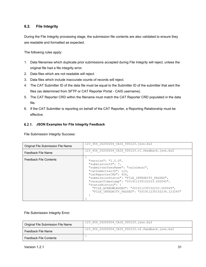#### <span id="page-36-0"></span>**6.2. File Integrity**

During the File Integrity processing stage, the submission file contents are also validated to ensure they are readable and formatted as expected.

The following rules apply:

- 1. Data filenames which duplicate prior submissions accepted during File Integrity will reject, unless the original file had a file integrity error.
- 2. Data files which are not readable will reject.
- 3. Data files which include inaccurate counts of records will reject.
- 4. The CAT Submitter ID of the data file must be equal to the Submitter ID of the submitter that sent the files (as determined from SFTP or CAT Reporter Portal - CAIS username).
- 5. The CAT Reporter CRD within the filename must match the CAT Reporter CRD populated in the data file.
- 6. If the CAT Submitter is reporting on behalf of the CAT Reporter, a Reporting Relationship must be effective.

#### <span id="page-36-1"></span>**JSON Examples for File Integrity Feedback**

File Submission Integrity Success:

| Original File Submission File Name | 123 456 20200204 CAIS 000123.json.bz2                                                                                                                                                                                                                                                                                                                                |
|------------------------------------|----------------------------------------------------------------------------------------------------------------------------------------------------------------------------------------------------------------------------------------------------------------------------------------------------------------------------------------------------------------------|
| Feedback File Name                 | 123 456 20200204 CAIS 000123.v1.feedback.json.bz2                                                                                                                                                                                                                                                                                                                    |
| <b>Feedback File Contents</b>      | "version": " $1.0.0$ ",<br>"submissionID": 7,<br>"submitterUserName": "caisimusr",<br>"catSubmitterID": 123,<br>"catReporterCRD": 456,<br>"submissionStatus": "FILE INTEGRITY PASSED",<br>"receiptTimestamp": "20191123T152233.000045",<br>"statusHistory": {<br>"FILE ACKNOWLEDGED": "20191123T152233.000045",<br>"FILE INTEGRITY PASSED": "20191123T152234.123245" |

File Submission Integrity Error:

| Original File Submission File Name | 123 456 20200204 CAIS 000123.json.bz2             |
|------------------------------------|---------------------------------------------------|
| Feedback File Name                 | 123 456 20200204 CAIS 000123.v2.feedback.json.bz2 |
| <b>Feedback File Contents</b>      |                                                   |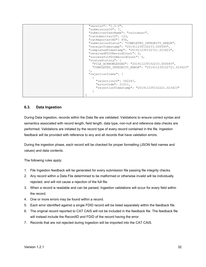```
 "version": "1.0.0",
  "submissionID": 7,
  "submitterUserName": "caisimusr",
  "catSubmitterID": 123,
  "catReporterCRD": 456,
  "submissionStatus": "COMPLETED_INTEGRITY_ERROR",
  "receiptTimestamp": "20191123T152233.000045",
  "completedTimestamp": "20191123T152721.023423",
  "receivedFDIDRecordCount": 0,
  "successfulFDIDRecordCount": 0,
  "statusHistory": {
    "FILE_ACKNOWLEDGED": "20191123T152233.000045",
    "COMPLETED_INTEGRITY_ERROR": "20191123T152721.023423"
  }, 
  "rejectionItems": [
    {
       "rejectionID": 542247,
      "errorCode": 21011,
      "rejectionTimestamp": "20191123T152221.023423"
    }
}
```
#### <span id="page-37-0"></span>**6.3. Data Ingestion**

During Data Ingestion, records within the Data file are validated. Validations to ensure correct syntax and semantics associated with record length, field length, data type, non-null and reference data checks are performed. Validations are initiated by the record type of every record contained in the file. Ingestion feedback will be provided with reference to any and all records that have validation errors.

During the ingestion phase, each record will be checked for proper formatting (JSON field names and values) and data contents.

The following rules apply:

- 1. File Ingestion feedback will be generated for every submission file passing file integrity checks.
- 2. Any record within a Data File determined to be malformed or otherwise invalid will be individually rejected, and will not cause a rejection of the full file.
- 3. When a record is readable and can be parsed, Ingestion validations will occur for every field within the record.
- 4. One or more errors may be found within a record.
- 5. Each error identified against a single FDID record will be listed separately within the feedback file.
- 6. The original record reported to CAT CAIS will not be included in the feedback file. The feedback file will instead include the RecordID and FDID of the record having the error.
- 7. Records that are not rejected during Ingestion will be imported into the CAT CAIS.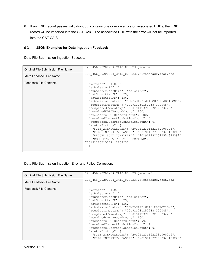8. If an FDID record passes validation, but contains one or more errors on associated LTIDs, the FDID record will be imported into the CAT CAIS. The associated LTID with the error will not be imported into the CAT CAIS.

#### <span id="page-38-0"></span>**JSON Examples for Data Ingestion Feedback**

Data File Submission Ingestion Success:

| Original File Submission File Name | 123 456 20200204 CAIS 000123.json.bz2                   |
|------------------------------------|---------------------------------------------------------|
| Meta Feedback File Name            | 123 456 20200204 CAIS 000123.v3.feedback.json.bz2       |
| <b>Feedback File Contents</b>      | "version": " $1.0.0$ ",                                 |
|                                    | "submissionID": 7,<br>"submitterUserName": "caisimusr", |
|                                    | "catSubmitterID": 123,                                  |
|                                    | "catReporterCRD": 456,                                  |
|                                    | "submissionStatus": "COMPLETED WITHOUT REJECTIONS",     |
|                                    | "receiptTimestamp": "20191123T152233.000045",           |
|                                    | "completedTimestamp": "20191123T152721.023423",         |
|                                    | "receivedFDIDRecordCount": 100,                         |
|                                    | "successfulFDIDRecordCount": 100,                       |
|                                    | "receivedCorrectionActionCount": 0,                     |
|                                    | "successfulCorrectionActionCount": 0,                   |
|                                    | "statusHistory": {                                      |
|                                    | "FILE ACKNOWLEDGED": "20191123T152233.000045",          |
|                                    | "FILE INTEGRITY PASSED": "20191123T152234.123245",      |
|                                    | "RECORD SCAN COMPLETED": "20191123T152255.324392",      |
|                                    | "COMPLETED WITHOUT REJECTIONS":                         |
|                                    | "20191123T152721.023423"                                |
|                                    |                                                         |
|                                    |                                                         |

Data File Submission Ingestion Error and Failed Correction:

| Original File Submission File Name | 123 456 20200204 CAIS 000123.json.bz2                                                                                                                                                                                                                                                                                                                                                                                                                                                                                                                                               |
|------------------------------------|-------------------------------------------------------------------------------------------------------------------------------------------------------------------------------------------------------------------------------------------------------------------------------------------------------------------------------------------------------------------------------------------------------------------------------------------------------------------------------------------------------------------------------------------------------------------------------------|
| Meta Feedback File Name            | 123 456 20200204 CAIS 000123.v3.feedback.json.bz2                                                                                                                                                                                                                                                                                                                                                                                                                                                                                                                                   |
| <b>Feedback File Contents</b>      | "version": " $1.0.0$ ",<br>"submissionID": 7,<br>"submitterUserName": "caisimusr",<br>"catSubmitterID": 123,<br>"catReporterCRD": 456,<br>"submissionStatus": "COMPLETED WITH REJECTIONS",<br>"receiptTimestamp": "20191123T152233.000045",<br>"completedTimestamp": "20191123T152721.023423",<br>"receivedFDIDRecordCount": 100,<br>"successfulFDIDRecordCount": 99,<br>"receivedCorrectionActionCount": 1,<br>"successfulCorrectionActionCount": 0,<br>"statusHistory": {<br>"FILE ACKNOWLEDGED": "20191123T152233.000045",<br>"FILE INTEGRITY PASSED": "20191123T152234.123245", |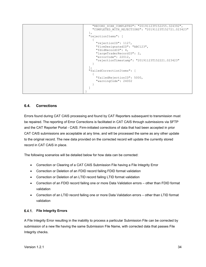```
 "RECORD_SCAN_COMPLETED": "20191123T152255.324392",
     "COMPLETED_WITH_REJECTIONS": "20191123T152721.023423"
  }, 
  "rejectionItems": [
    {
       "rejectionID": 1127,
       "firmDesignatedID": "ABC123",
       "fdidRecordID": 4,
       "largeTraderRecordID": 2,
       "errorCode": 22012,
       "rejectionTimestamp": "20191123T152221.023423"
     }
 \frac{1}{2},
  "failedCorrectionItems": [
   \{ "failedRejectionID": 5000,
       "warningCode": 24002
     }
  ]
}
```
#### <span id="page-39-0"></span>**6.4. Corrections**

Errors found during CAT CAIS processing and found by CAT Reporters subsequent to transmission must be repaired. The reporting of Error Corrections is facilitated in CAT CAIS through submissions via SFTP and the CAT Reporter Portal - CAIS. Firm-initiated corrections of data that had been accepted in prior CAT CAIS submissions are acceptable at any time, and will be processed the same as any other update to the original record. The new data provided on the corrected record will update the currently stored record in CAT CAIS in place.

The following scenarios will be detailed below for how data can be corrected:

- Correction or Clearing of a CAT CAIS Submission File having a File Integrity Error
- Correction or Deletion of an FDID record failing FDID format validation
- Correction or Deletion of an LTID record failing LTID format validation
- Correction of an FDID record failing one or more Data Validation errors other than FDID format validation
- Correction of an LTID record failing one or more Data Validation errors other than LTID format validation

#### <span id="page-39-1"></span>**File Integrity Errors**

A File Integrity Error resulting in the inability to process a particular Submission File can be corrected by submission of a new file having the same Submission File Name, with corrected data that passes File Integrity checks.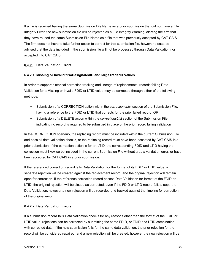If a file is received having the same Submission File Name as a prior submission that did not have a File Integrity Error, the new submission file will be rejected as a File Integrity Warning, alerting the firm that they have reused the same Submission File Name as a file that was previously accepted by CAT CAIS. The firm does not have to take further action to correct for this submission file, however please be advised that the data included in the submission file will not be processed through Data Validation nor accepted into CAT CAIS.

#### <span id="page-40-0"></span>**Data Validation Errors**

#### **6.4.2.1. Missing or Invalid firmDesignatedID and largeTraderID Values**

In order to support historical correction tracking and lineage of replacements, records failing Data Validation for a Missing or Invalid FDID or LTID value may be corrected through either of the following methods:

- Submission of a CORRECTION action within the *correctionsList* section of the Submission File, having a reference to the FDID or LTID that corrects for the prior failed record; OR
- Submission of a DELETE action within the *correctionsList* section of the Submission File, indicating no record is required to be submitted in place of the prior record failing validation

In the CORRECTION scenario, the replacing record must be included within the current Submission File and pass all data validation checks, or the replacing record must have been accepted by CAT CAIS in a prior submission. If the correction action is for an LTID, the corresponding FDID and LTID having the correction must likewise be included in the current Submission File without a data validation error, or have been accepted by CAT CAIS in a prior submission.

If the referenced correction record fails Data Validation for the format of its FDID or LTID value, a separate rejection will be created against the replacement record, and the original rejection will remain open for correction. If the reference correction record passes Data Validation for format of the FDID or LTID, the original rejection will be closed as corrected, even if the FDID or LTID record fails a separate Data Validation; however a new rejection will be recorded and tracked against the timeline for correction of the original error.

#### **6.4.2.2. Data Validation Errors**

If a submission record fails Data Validation checks for any reasons other than the format of the FDID or LTID value, rejections can be corrected by submitting the same FDID, or FDID and LTID combination, with corrected data. If the new submission fails for the same data validation, the prior rejection for the record will be considered repaired, and a new rejection will be created; however the new rejection will be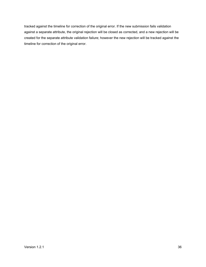tracked against the timeline for correction of the original error. If the new submission fails validation against a separate attribute, the original rejection will be closed as corrected, and a new rejection will be created for the separate attribute validation failure; however the new rejection will be tracked against the timeline for correction of the original error.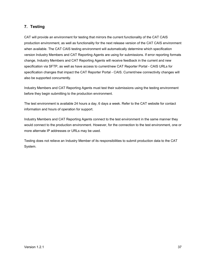# <span id="page-42-0"></span>**7. Testing**

CAT will provide an environment for testing that mirrors the current functionality of the CAT CAIS production environment, as well as functionality for the next release version of the CAT CAIS environment when available. The CAT CAIS testing environment will automatically determine which specification version Industry Members and CAT Reporting Agents are using for submissions. If error reporting formats change, Industry Members and CAT Reporting Agents will receive feedback in the current and new specification via SFTP, as well as have access to current/new CAT Reporter Portal - CAIS URLs for specification changes that impact the CAT Reporter Portal - CAIS. Current/new connectivity changes will also be supported concurrently.

Industry Members and CAT Reporting Agents must test their submissions using the testing environment before they begin submitting to the production environment.

The test environment is available 24 hours a day, 6 days a week. Refer to the CAT website for contact information and hours of operation for support.

Industry Members and CAT Reporting Agents connect to the test environment in the same manner they would connect to the production environment. However, for the connection to the test environment, one or more alternate IP addresses or URLs may be used.

Testing does not relieve an Industry Member of its responsibilities to submit production data to the CAT System.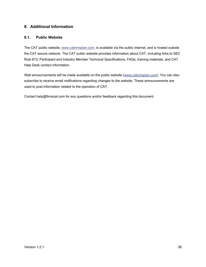# <span id="page-43-0"></span>**8. Additional Information**

#### <span id="page-43-1"></span>**8.1. Public Website**

The CAT public website, [www.catnmsplan.com,](https://www.catnmsplan.com/) is available via the public internet, and is hosted outside the CAT secure network. The CAT public website provides information about CAT, including links to SEC Rule 613, Participant and Industry Member Technical Specifications, FAQs, training materials, and CAT Help Desk contact information.

Web announcements will be made available on the public website [\(www.catnmsplan.com\)](https://www.catnmsplan.com/). You can also subscribe to receive email notifications regarding changes to the website. These announcements are used to post information related to the operation of CAT.

Contact help@finracat.com for any questions and/or feedback regarding this document.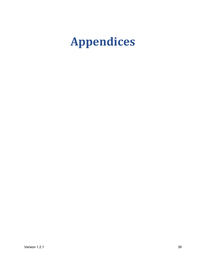# <span id="page-44-0"></span>**Appendices**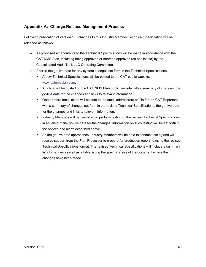# <span id="page-45-0"></span>**Appendix A: Change Release Management Process**

Following publication of version 1.0, changes to this Industry Member Technical Specification will be released as follows:

- All proposed amendments to the Technical Specifications will be made in accordance with the CAT NMS Plan, including being approved or deemed approved (as applicable) by the Consolidated Audit Trail, LLC Operating Committee.
- Prior to the go-live date for any system changes set forth in the Technical Specifications:
	- A new Technical Specifications will be posted to the CAT public website, [www.catnmsplan.com.](https://www.catnmsplan.com/)
	- A notice will be posted on the CAT NMS Plan public website with a summary of changes, the go-live date for the changes and links to relevant information.
	- One or more email alerts will be sent to the email address(es) on file for the CAT Reporters with a summary of changes set forth in the revised Technical Specifications, the go-live date for the changes and links to relevant information.
	- Industry Members will be permitted to perform testing of the revised Technical Specifications in advance of the go-live date for the changes. Information on such testing will be set forth in the notices and alerts described above.
	- As the go-live date approaches, Industry Members will be able to conduct testing and will receive support from the Plan Processor to prepare for production reporting using the revised Technical Specifications format. The revised Technical Specifications will include a summary list of changes as well as a table listing the specific areas of the document where the changes have been made.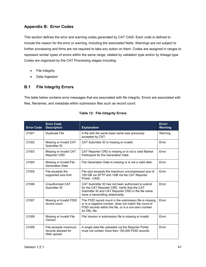# <span id="page-46-0"></span>**Appendix B: Error Codes**

This section defines the error and warning codes generated by CAT CAIS. Each code is defined to include the reason for the error or warning, including the associated fields. Warnings are not subject to further processing and firms are not required to take any action on them. Codes are assigned in ranges to represent similar types of errors within the same range, related by validation type and/or by linkage type. Codes are organized by the CAT Processing stages including:

- File Integrity
- Data Ingestion

# <span id="page-46-1"></span>**B.1 File Integrity Errors**

The table below contains error messages that are associated with file integrity. Errors are associated with files, filenames, and metadata within submission files such as record count.

| <b>Error Code</b> | <b>Error Code</b><br><b>Description</b>                   | <b>Explanation</b>                                                                                                                                                                             | Error/<br><b>Warning</b> |
|-------------------|-----------------------------------------------------------|------------------------------------------------------------------------------------------------------------------------------------------------------------------------------------------------|--------------------------|
| 21001             | <b>Duplicate File</b>                                     | A file with the same base name was previously<br>accepted by CAT.                                                                                                                              | Warning                  |
| 21002             | Missing or Invalid CAT<br>Submitter ID                    | CAT Submitter ID is missing or invalid.                                                                                                                                                        | Error                    |
| 21003             | Missing or Invalid CAT<br><b>Reporter CRD</b>             | CAT Reporter CRD is missing or is not a valid Market<br>Participant for the Generation Date.                                                                                                   | Error                    |
| 21004             | Missing or Invalid File<br><b>Generation Date</b>         | File Generation Date is missing or is not a valid date.                                                                                                                                        | Error                    |
| 21005             | File exceeds the<br>supported size limit                  | File size exceeds the maximum uncompressed size of<br>100 GB via SFTP and 1GB via the CAT Reporter<br>Portal - CAIS.                                                                           | Error                    |
| 21006             | Unauthorized CAT<br>Submitter ID                          | CAT Submitter ID has not been authorized to submit<br>for the CAT Reporter CRD. Verify that the CAT<br>Submitter ID and CAT Reporter CRD in the file name<br>have a transmitting relationship. | Frror                    |
| 21007             | Missing or Invalid FDID<br>record count                   | The FDID record count in the submission file is missing<br>or is a negative number, does not match the count of<br>FDID records within the file, or is a non-zero number<br>for DFI file.      | Error                    |
| 21008             | Missing or Invalid File<br>Version                        | File Version in submission file is missing or invalid.                                                                                                                                         | Error                    |
| 21009             | File exceeds maximum<br>records allowed for<br>Web upload | A single data file uploaded via the Reporter Portal<br>must not contain more than 100,000 FDID records.                                                                                        | Error                    |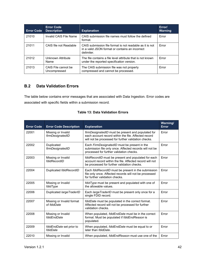| <b>Error Code</b> | <b>Error Code</b><br><b>Description</b> | <b>Explanation</b>                                                                                                        | Error/<br><b>Warning</b> |
|-------------------|-----------------------------------------|---------------------------------------------------------------------------------------------------------------------------|--------------------------|
| 21010             | Invalid CAIS File Name                  | CAIS submission file names must follow the defined<br>format.                                                             | Error                    |
| 21011             | CAIS file not Readable                  | CAIS submission file format is not readable as it is not<br>in a valid JSON format or contains an incorrect<br>delimiter. | Error                    |
| 21012             | Unknown Attribute<br>Name               | The file contains a file level attribute that is not known<br>under the reported specification version.                   | Error                    |
| 21013             | CAIS File cannot be<br>Uncompressed     | The CAIS submission file was not properly<br>compressed and cannot be processed.                                          | <b>Frror</b>             |

# <span id="page-47-0"></span>**B.2 Data Validation Errors**

The table below contains error messages that are associated with Data Ingestion. Error codes are associated with specific fields within a submission record.

| <b>Error Code</b> | <b>Error Code Description</b>            | <b>Explanation</b>                                                                                                                                                 | Warning/<br><b>Error</b> |
|-------------------|------------------------------------------|--------------------------------------------------------------------------------------------------------------------------------------------------------------------|--------------------------|
| 22001             | Missing or Invalid<br>firmDesignatedID   | firmDesignatedID must be present and populated for<br>each account record within the file. Affected record<br>will not be processed for further validation checks. | Error                    |
| 22002             | Duplicated<br>firmDesignatedID           | Each FirmDesignatedID must be present in the<br>submission file only once. Affected records will not be<br>processed for further validation checks.                | Error                    |
| 22003             | Missing or Invalid<br>fdidRecordID       | fdidRecordID must be present and populated for each<br>account record within the file. Affected record will not<br>be processed for further validation checks.     | Error                    |
| 22004             | Duplicated fdidRecordID                  | Each fdidRecordID must be present in the submission<br>file only once. Affected records will not be processed<br>for further validation checks.                    | Error                    |
| 22005             | Missing or Invalid<br>fdidType           | fdidType must be present and populated with one of<br>the allowable values.                                                                                        | Error                    |
| 22006             | Duplicated large TraderID                | Each large TraderID must be present only once for a<br>single FDID record.                                                                                         | Error                    |
| 22007             | Missing or Invalid format<br>of fdidDate | fdidDate must be populated in the correct format.<br>Affected record will not be processed for further<br>validation checks.                                       | Error                    |
| 22008             | Missing or Invalid<br>fdidEndDate        | When populated, fdidEndDate must be in the correct<br>format. Must be populated if fdidEndReason is<br>populated.                                                  | Error                    |
| 22009             | fdidEndDate set prior to<br>fdidDate     | When populated, fdidEndDate must be equal to or<br>later than <i>fdidDate</i> .                                                                                    | Error                    |
| 22010             | Missing or Invalid                       | When populated, <i>fdidEndReason</i> must use one of the                                                                                                           | Error                    |

#### **Table 13: Data Validation Errors**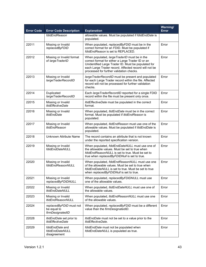| <b>Error Code</b> | <b>Error Code Description</b>                              | <b>Explanation</b>                                                                                                                                                                                                                                             | Warning/<br><b>Error</b> |
|-------------------|------------------------------------------------------------|----------------------------------------------------------------------------------------------------------------------------------------------------------------------------------------------------------------------------------------------------------------|--------------------------|
|                   | fdidEndReason                                              | allowable values. Must be populated if fdidEndDate is<br>populated.                                                                                                                                                                                            |                          |
| 22011             | Missing or Invalid<br>replacedByFDID                       | When populated, replacedByFDID must be in the<br>correct format for an FDID. Must be populated if<br>fdidEndReason is set to REPLACED.                                                                                                                         | Error                    |
| 22012             | Missing or Invalid format<br>of large TraderID             | When populated, large TraderID must be in the<br>correct format for either a Large Trader ID or an<br>Unidentified Large Trader ID. Must be populated for<br>each Large Trader record. Affected record will not be<br>processed for further validation checks. | Error                    |
| 22013             | Missing or Invalid<br>largeTraderRecordID                  | large TraderRecordID must be present and populated<br>for each Large Trader record within the file. Affected<br>record will not be processed for further validation<br>checks.                                                                                 | Error                    |
| 22014             | Duplicated<br>largeTraderRecordID                          | Each large Trader RecordID reported for a single FDID<br>record within the file must be present only once.                                                                                                                                                     | Error                    |
| 22015             | Missing or Invalid<br><b>ItidEffectiveDate</b>             | ItidEffectiveDate must be populated in the correct<br>format.                                                                                                                                                                                                  | Error                    |
| 22016             | Missing or Invalid<br><b>ItidEndDate</b>                   | When populated, <i>ItidEndDate</i> must be in the correct<br>format. Must be populated if ItidEndReason is<br>populated.                                                                                                                                       | Error                    |
| 22017             | Missing or Invalid<br><b>ItidEndReason</b>                 | When populated, <i>ItidEndReason</i> must use one of the<br>allowable values. Must be populated if ItidEndDate is<br>populated.                                                                                                                                | Error                    |
| 22018             | Unknown Attribute Name                                     | The record contains an attribute that is not known<br>under the reported specification version.                                                                                                                                                                | Error                    |
| 22019             | Missing or Invalid<br>fdidEndDateNULL                      | When populated, fdidEndDateNULL must use one of<br>the allowable values. Must be set to true when<br>fdidEndReasonNULL is set to true. Must be set to<br>true when replacedByFDIDNull is set to true.                                                          | Error                    |
| 22020             | Missing or Invalid<br>fdidEndReasonNULL                    | When populated, fdidEndReasonNULL must use one<br>of the allowable values. Must be set to true when<br>fdidEndDateNULL is set to true. Must be set to true<br>when replacedByFDIDNull is set to true.                                                          | Error                    |
| 22021             | Missing or Invalid<br>replacedByFDIDNULL                   | When populated, replacedByFDIDNULL must use<br>one of the allowable values.                                                                                                                                                                                    | Error                    |
| 22022             | Missing or Invalid<br><b>ItidEndDateNULL</b>               | When populated, <i>ItidEndDateNULL</i> must use one of<br>the allowable values.                                                                                                                                                                                | Error                    |
| 22023             | Missing or Invalid<br><b>ItidEndReasonNULL</b>             | When populated, ItidEndReasonNULL must use one<br>of the allowable values.                                                                                                                                                                                     | Error                    |
| 22024             | replacedByFDID must not<br>be equal to<br>firmDesignatedID | When populated, replacedByFDID must be a different<br>value than the firmDesignatedID.                                                                                                                                                                         | Error                    |
| 22028             | ItidEndDate set prior to<br><b>ItidEffectiveDate</b>       | <i>ItidEndDate</i> must not be set to a value prior to the<br>ItidEffectiveDate.                                                                                                                                                                               | Error                    |
| 22029             | fdidEndDate and<br>fdidEndDateNULL<br>disagreement         | fdidEndDate must not be populated when<br>fdidEndDateNULL is populated as true.                                                                                                                                                                                | Error                    |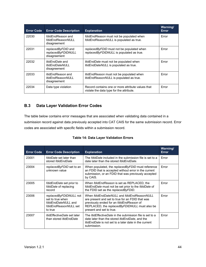| <b>Error Code</b> | <b>Error Code Description</b>                                    | <b>Explanation</b>                                                                            | Warning/<br><b>Error</b> |
|-------------------|------------------------------------------------------------------|-----------------------------------------------------------------------------------------------|--------------------------|
| 22030             | fdidEndReason and<br>fdidEndReasonNULL<br>disagreement           | fdidEndReason must not be populated when<br>fdidEndReasonNULL is populated as true.           | Error                    |
| 22031             | replacedByFDID and<br>replacedByFDIDNULL<br>disagreement         | replacedByFDID must not be populated when<br>replacedByFDIDNULL is populated as true.         | Error                    |
| 22032             | <i>ItidEndDate</i> and<br><b>ItidEndDateNULL</b><br>disagreement | <i>ItidEndDate</i> must not be populated when<br>ItidEndDateNULL is populated as true.        | Error                    |
| 22033             | <i>ItidEndReason</i> and<br>ltidEndReasonNULL<br>disagreement    | <i>ItidEndReason</i> must not be populated when<br>ItidEndReasonNULL is populated as true.    | Error                    |
| 22034             | Data type violation                                              | Record contains one or more attribute values that<br>violate the data type for the attribute. | Error                    |

# <span id="page-49-0"></span>**B.3 Data Layer Validation Error Codes**

The table below contains error messages that are associated when validating data contained in a submission record against data previously accepted into CAT CAIS for the same submission record. Error codes are associated with specific fields within a submission record.

|  |  |  | <b>Table 14: Data Layer Validation Errors</b> |  |
|--|--|--|-----------------------------------------------|--|
|--|--|--|-----------------------------------------------|--|

| <b>Error Code</b> | <b>Error Code Description</b>                                                                         | <b>Explanation</b>                                                                                                                                                                                                      | Warning/<br>Error |
|-------------------|-------------------------------------------------------------------------------------------------------|-------------------------------------------------------------------------------------------------------------------------------------------------------------------------------------------------------------------------|-------------------|
| 23001             | <i>fdidDate</i> set later than<br>stored fdidEndDate                                                  | The <i>fdidDate</i> included in the submission file is set to a<br>date later than the stored folidEndDate.                                                                                                             | Error             |
| 23004             | replacedByFDID set to an<br>unknown value                                                             | When populated, the replacedByFDID must reference<br>an FDID that is accepted without error in the current<br>submission, or an FDID that was previously accepted<br>by CAIS.                                           | Error             |
| 23005             | <i>fdidEndDate</i> set prior to<br>fdidDate of replacing<br>record                                    | When fdidEndReason is set as REPLACED, the<br>fdidEndDate must not be set prior to the fdidDate of<br>the FDID set as the replaced By FDID.                                                                             | Error             |
| 23006             | replacedByFDIDNULL not<br>set to true when<br>fdidEndDateNULL and<br>fdidEndReasonNULL set<br>to true | When fdidEndDateNULL and fdidEndReasonNULL<br>are present and set to true for an FDID that was<br>previously ended for an fdidEndReason of<br>REPLACED, the replacedByFDIDNULL must also be<br>present and set to true. | Error             |
| 23007             | <i>ItidEffectiveDate</i> set later<br>than stored <i>ItidEndDate</i>                                  | The <i>ItidEffectiveDate</i> in the submission file is set to a<br>date later than the stored <i>ItidEndDate</i> , and the<br><i>ItidEndDate</i> is not set to a later date in the current<br>submission.               | Error             |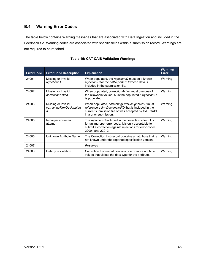# <span id="page-50-0"></span>**B.4 Warning Error Codes**

The table below contains Warning messages that are associated with Data Ingestion and included in the Feedback file. Warning codes are associated with specific fields within a submission record. Warnings are not required to be repaired.

| <b>Error Code</b> | <b>Error Code Description</b>                        | <b>Explanation</b>                                                                                                                                                                              | <b>Warning/</b><br><b>Error</b> |
|-------------------|------------------------------------------------------|-------------------------------------------------------------------------------------------------------------------------------------------------------------------------------------------------|---------------------------------|
| 24001             | Missing or Invalid<br>rejectionID                    | When populated, the rejectionID must be a known<br>rejectionID for the catReporterID whose data is<br>included in the submission file.                                                          | Warning                         |
| 24002             | Missing or Invalid<br>correctionAction               | When populated, <i>correctionAction</i> must use one of<br>the allowable values. Must be populated if rejectionID<br>is populated.                                                              | Warning                         |
| 24003             | Missing or Invalid<br>correctingFirmDesignated<br>ID | When populated, <i>correctingFirmDesignatedID</i> must<br>reference a firmDesignatedID that is included in the<br>current submission file or was accepted by CAT CAIS<br>in a prior submission. | Warning                         |
| 24005             | Improper correction<br>attempt                       | The rejectionID included in the correction attempt is<br>for an improper error code. It is only acceptable to<br>submit a correction against rejections for error codes<br>22001 and 22012.     | Warning                         |
| 24006             | Unknown Attribute Name                               | The Correction List record contains an attribute that is<br>not known under the reported specification version.                                                                                 | Warning                         |
| 24007             |                                                      | Reserved                                                                                                                                                                                        |                                 |
| 24008             | Data type violation                                  | Correction List record contains one or more attribute<br>values that violate the data type for the attribute.                                                                                   | Warning                         |

#### **Table 15: CAT CAIS Validation Warnings**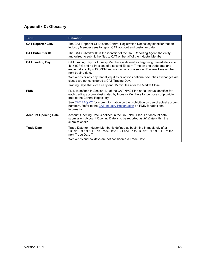# <span id="page-51-0"></span>**Appendix C: Glossary**

| <b>Term</b>                 | <b>Definition</b>                                                                                                                                                                                                                                                 |
|-----------------------------|-------------------------------------------------------------------------------------------------------------------------------------------------------------------------------------------------------------------------------------------------------------------|
| <b>CAT Reporter CRD</b>     | The CAT Reporter CRD is the Central Registration Depository identifier that an<br>Industry Member uses to report CAT account and customer data.                                                                                                                   |
| <b>CAT Submitter ID</b>     | The CAT Submitter ID is the identifier of the CAT Reporting Agent, the entity<br>authorized to submit the files to CAT on behalf of the Industry Member.                                                                                                          |
| <b>CAT Trading Day</b>      | CAT Trading Day for Industry Members is defined as beginning immediately after<br>4:15:00PM and no fractions of a second Eastern Time on one trade date and<br>ending at exactly 4:15:00PM and no fractions of a second Eastern Time on the<br>next trading date. |
|                             | Weekends or any day that all equities or options national securities exchanges are<br>closed are not considered a CAT Trading Day.                                                                                                                                |
|                             | Trading Days that close early end 15 minutes after the Market Close.                                                                                                                                                                                              |
| <b>FDID</b>                 | FDID is defined in Section 1.1 of the CAT NMS Plan as "a unique identifier for<br>each trading account designated by Industry Members for purposes of providing<br>data to the Central Repository."                                                               |
|                             | See CAT FAQ M2 for more information on the prohibition on use of actual account<br>numbers. Refer to the CAT Industry Presentation on FDID for additional<br>information.                                                                                         |
| <b>Account Opening Date</b> | Account Opening Date is defined in the CAT NMS Plan. For account data<br>submission, Account Opening Date is to be reported as <i>fdidDate</i> within the<br>submission file.                                                                                     |
| <b>Trade Date</b>           | Trade Date for Industry Member is defined as beginning immediately after<br>23:59:59.999999 ET on Trade Date T - 1 and up to 23:59:59.999999 ET of the<br>next Trade Date T.                                                                                      |
|                             | Weekends and holidays are not considered a Trade Date.                                                                                                                                                                                                            |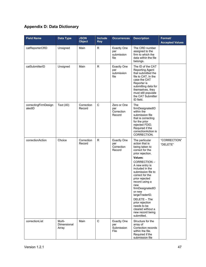# <span id="page-52-0"></span>**Appendix D: Data Dictionary**

| <b>Field Name</b>              | <b>Data Type</b>               | <b>JSON</b><br><b>Object</b> | Include<br><b>Key</b> | <b>Occurrences</b>                                | <b>Description</b>                                                                                                                                                                                                                                                                                                                                                                                    | Format/<br><b>Accepted Values</b> |
|--------------------------------|--------------------------------|------------------------------|-----------------------|---------------------------------------------------|-------------------------------------------------------------------------------------------------------------------------------------------------------------------------------------------------------------------------------------------------------------------------------------------------------------------------------------------------------------------------------------------------------|-----------------------------------|
| catReporterCRD                 | Unsigned                       | Main                         | R                     | <b>Exactly One</b><br>per<br>submission<br>file   | The CRD number<br>assigned to the<br>firm to which the<br>data within the file<br>belongs.                                                                                                                                                                                                                                                                                                            |                                   |
| catSubmitterID                 | Unsigned                       | Main                         | $\mathsf{R}$          | <b>Exactly One</b><br>per<br>submission<br>file   | The ID of the CAT<br>Reporting Agent<br>that submitted the<br>file to CAT. In the<br>case the CAT<br>Reporter is<br>submitting data for<br>themselves, they<br>must still populate<br>the CAT Submitter<br>ID field.                                                                                                                                                                                  |                                   |
| correctingFirmDesign<br>atedID | Text (40)                      | Correction<br>Record         | $\mathsf C$           | Zero or One<br>per<br>Correction<br>Record        | The<br>firmDesignatedID<br>within the<br>submission file<br>that is correcting<br>for the prior<br>rejected FDID.<br>Required if the<br>correction Action is<br>CORRECTION.                                                                                                                                                                                                                           |                                   |
| correctionAction               | Choice                         | Correction<br>Record         | $\mathsf R$           | <b>Exactly One</b><br>per<br>Correction<br>Record | The particular<br>action that is<br>being taken to<br>correct for the<br>prior rejection.<br>Values:<br>CORRECTION-<br>A new entry is<br>included in the<br>submission file to<br>correct for the<br>prior rejected<br>record using a<br>new<br>firmDesignatedID<br>or new<br>largeTraderID.<br>DELETE - The<br>prior rejection<br>needs to be<br>cleared without a<br>new record being<br>submitted. | "CORRECTION"<br>"DELETE"          |
| correctionList                 | Multi-<br>Dimensional<br>Array | Main                         | $\mathbf C$           | <b>Exactly One</b><br>per<br>Submission<br>File   | Structure for the<br>array of<br>Correction records<br>within the file.<br>Required if the<br>submission file                                                                                                                                                                                                                                                                                         |                                   |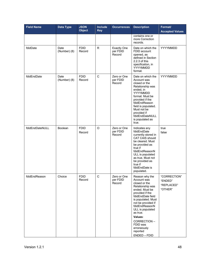| <b>Field Name</b> | <b>Data Type</b>     | <b>JSON</b><br><b>Object</b> | <b>Include</b><br><b>Key</b> | <b>Occurrences</b>                       | <b>Description</b>                                                                                                                                                                                                                                                                                          | Format/<br><b>Accepted Values</b>                |
|-------------------|----------------------|------------------------------|------------------------------|------------------------------------------|-------------------------------------------------------------------------------------------------------------------------------------------------------------------------------------------------------------------------------------------------------------------------------------------------------------|--------------------------------------------------|
|                   |                      |                              |                              |                                          | contains one or<br>more Correction<br>records.                                                                                                                                                                                                                                                              |                                                  |
| fdidDate          | Date<br>(Number) (8) | <b>FDID</b><br>Record        | R.                           | <b>Exactly One</b><br>per FDID<br>Record | Date on which the<br>FDID account<br>opened, as<br>defined in Section<br>2.2.3 of this<br>specification, in<br>YYYYMMDD<br>format.                                                                                                                                                                          | YYYYMMDD                                         |
| fdidEndDate       | Date<br>(Number) (8) | <b>FDID</b><br>Record        | C                            | Zero or One<br>per FDID<br>Record        | Date on which the<br>Account was<br>closed or the<br>Relationship was<br>ended, in<br>YYYYMMDD<br>format. Must be<br>provided if the<br>fdidEndReason<br>field is populated.<br>Must not be<br>provided if<br>fdidEndDateNULL<br>is populated as<br>true.                                                   | YYYYMMDD                                         |
| fdidEndDateNULL   | <b>Boolean</b>       | <b>FDID</b><br>Record        | $\circ$                      | Zero or One<br>per FDID<br>Record        | Indicates any<br>fdidEndDate<br>currently stored in<br>CAT CAIS should<br>be cleared. Must<br>be provided as<br>true if<br>fdidEndReasonN<br>ULL is populated<br>as true. Must not<br>be provided as<br>true if<br>fdidEndDate is<br>populated.                                                             | true<br>false                                    |
| fdidEndReason     | Choice               | <b>FDID</b><br>Record        | С                            | Zero or One<br>per FDID<br>Record        | Reason why the<br>Account was<br>closed or the<br>Relationship was<br>ended. Must be<br>provided if the<br>fdidEndDate field<br>is populated. Must<br>not be provided if<br>fdidEndReasonN<br>ULL is populated<br>as true.<br>Values:<br>CORRECTION-<br>FDID was<br>erroneously<br>reported<br>ENDED - FDID | "CORRECTION"<br>"ENDED"<br>"REPLACED"<br>"OTHER" |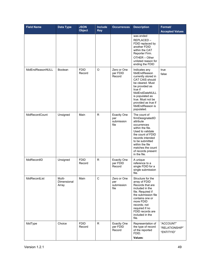| <b>Field Name</b> | <b>Data Type</b>                      | <b>JSON</b><br><b>Object</b> | Include<br><b>Key</b> | <b>Occurrences</b>                              | <b>Description</b>                                                                                                                                                                                                                                   | Format/<br><b>Accepted Values</b>         |
|-------------------|---------------------------------------|------------------------------|-----------------------|-------------------------------------------------|------------------------------------------------------------------------------------------------------------------------------------------------------------------------------------------------------------------------------------------------------|-------------------------------------------|
|                   |                                       |                              |                       |                                                 | was ended<br>REPLACED-<br>FDID replaced by<br>another FDID<br>within the CAT<br>Reporter Firm.<br>OTHER - Other<br>unlisted reason for<br>ending the FDID                                                                                            |                                           |
| fdidEndReasonNULL | <b>Boolean</b>                        | <b>FDID</b><br>Record        | O                     | Zero or One<br>per FDID<br>Record               | Indicates any<br>fdidEndReason<br>currently stored in<br><b>CAT CAIS should</b><br>be cleared. Must<br>be provided as<br>true if<br>fdidEndDateNULL<br>is populated as<br>true. Must not be<br>provided as true if<br>fdidEndReason is<br>populated. | true<br>false                             |
| fdidRecordCount   | Unsigned                              | Main                         | $\mathsf{R}$          | <b>Exactly One</b><br>per<br>submission<br>file | The count of<br>firmDesignatedID<br>attribute<br>occurrences<br>within the file.<br>Used to validate<br>the count of FDID<br>records intended<br>to be submitted<br>within the file<br>matches the count<br>of records present<br>in the file.       |                                           |
| fdidRecordID      | Unsigned                              | <b>FDID</b><br>Record        | R.                    | <b>Exactly One</b><br>per FDID<br>Record        | A unique<br>reference to a<br>single FDID for a<br>single submission<br>file.                                                                                                                                                                        |                                           |
| fdidRecordList    | Multi-<br><b>Dimensional</b><br>Array | Main                         | $\mathsf C$           | Zero or One<br>per<br>submission<br>file        | Structure for the<br>array of FDID<br>Records that are<br>included in the<br>file. Required if<br>the submission file<br>contains one or<br>more FDID<br>records; not<br>required if no<br>FDID records are<br>included in the<br>file.              |                                           |
| fdidType          | Choice                                | <b>FDID</b><br>Record        | R                     | <b>Exactly One</b><br>per FDID<br>Record        | Representation of<br>the type of record<br>of the reported<br>FDID.<br>Values:                                                                                                                                                                       | "ACCOUNT"<br>"RELATIONSHIP"<br>"ENTITYID" |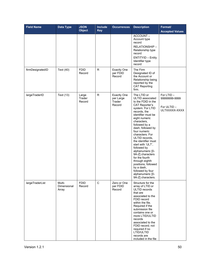| <b>Field Name</b> | <b>Data Type</b>               | <b>JSON</b><br><b>Object</b> | <b>Include</b><br><b>Key</b> | <b>Occurrences</b>                                  | <b>Description</b>                                                                                                                                                                                                                                                                                                                                                                                                                                                                                           | Format/<br><b>Accepted Values</b>                          |
|-------------------|--------------------------------|------------------------------|------------------------------|-----------------------------------------------------|--------------------------------------------------------------------------------------------------------------------------------------------------------------------------------------------------------------------------------------------------------------------------------------------------------------------------------------------------------------------------------------------------------------------------------------------------------------------------------------------------------------|------------------------------------------------------------|
|                   |                                |                              |                              |                                                     | ACCOUNT-<br>Account type<br>record<br>RELATIONSHIP-<br>Relationship type<br>record<br><b>ENTITYID - Entity</b><br>Identifier type<br>record                                                                                                                                                                                                                                                                                                                                                                  |                                                            |
| firmDesignatedID  | Text (40)                      | <b>FDID</b><br>Record        | $\mathsf R$                  | <b>Exactly One</b><br>per FDID<br>Record            | The Firm<br>Designated ID of<br>the Account or<br>Relationship being<br>reported by the<br><b>CAT Reporting</b><br>firm.                                                                                                                                                                                                                                                                                                                                                                                     |                                                            |
| largeTraderID     | Text (13)                      | Large<br>Trader<br>Record    | $\mathsf{R}$                 | <b>Exactly One</b><br>per Large<br>Trader<br>Record | The LTID or<br>ULTID associated<br>to the FDID in the<br><b>CAT Reporter's</b><br>system. For LTID<br>records, the<br>identifier must be<br>eight numeric<br>characters,<br>followed by a<br>dash, followed by<br>four numeric<br>characters. For<br>ULTID records,<br>the identifier must<br>start with 'ULT',<br>followed by<br>alphanumeric [0-<br>9A-Z] characters<br>for the fourth<br>through eighth<br>positions, followed<br>by a dash,<br>followed by four<br>alphanumeric [0-<br>9A-Z] characters. | For LTID-<br>99999999-9999<br>For ULTID -<br>ULTXXXXX-XXXX |
| largeTraderList   | Multi-<br>Dimensional<br>Array | <b>FDID</b><br>Record        | $\mathbf C$                  | Zero or One<br>per FDID<br>Record                   | Structure for the<br>array of LTID or<br>ULTID records<br>that are<br>associated to the<br>FDID record<br>within the file.<br>Required if the<br>submission file<br>contains one or<br>more LTID/ULTID<br>records<br>associated to the<br>FDID record; not<br>required if no<br>LTID/ULTID<br>records are<br>included in the file                                                                                                                                                                            |                                                            |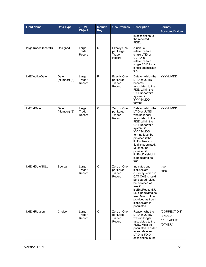| <b>Field Name</b>        | <b>Data Type</b>     | <b>JSON</b><br><b>Object</b> | Include<br><b>Key</b> | <b>Occurrences</b>                                  | <b>Description</b>                                                                                                                                                                                                                                                                                                      | Format/<br><b>Accepted Values</b>                |
|--------------------------|----------------------|------------------------------|-----------------------|-----------------------------------------------------|-------------------------------------------------------------------------------------------------------------------------------------------------------------------------------------------------------------------------------------------------------------------------------------------------------------------------|--------------------------------------------------|
|                          |                      |                              |                       |                                                     | in association to<br>the reported<br>FDID.                                                                                                                                                                                                                                                                              |                                                  |
| largeTraderRecordID      | Unsigned             | Large<br>Trader<br>Record    | R.                    | <b>Exactly One</b><br>per Large<br>Trader<br>Record | A unique<br>reference to a<br>single LTID or<br>ULTID in<br>reference to a<br>single FDID for a<br>single submission<br>file.                                                                                                                                                                                           |                                                  |
| <b>ItidEffectiveDate</b> | Date<br>(Number) (8) | Large<br>Trader<br>Record    | R.                    | <b>Exactly One</b><br>per Large<br>Trader<br>Record | Date on which the<br><b>LTID or ULTID</b><br>became<br>associated to the<br>FDID within the<br><b>CAT Reporter's</b><br>system, in<br>YYYYMMDD<br>format.                                                                                                                                                               | YYYYMMDD                                         |
| <b>ItidEndDate</b>       | Date<br>(Number) (8) | Large<br>Trader<br>Record    | C                     | Zero or One<br>per Large<br>Trader<br>Record        | Date on which the<br>LTID or ULTID<br>was no longer<br>associated to the<br>FDID within the<br><b>CAT Reporter's</b><br>system, in<br>YYYYMMDD<br>format. Must be<br>provided if the<br><b>ItidEndReason</b><br>field is populated.<br>Must not be<br>provided if<br><b>ItidEndDateNULL</b><br>is populated as<br>true. | YYYYMMDD                                         |
| <b>ItidEndDateNULL</b>   | Boolean              | Large<br>Trader<br>Record    | C                     | Zero or One<br>per Large<br>Trader<br>Record        | Indicates any<br><b>ItidEndDate</b><br>currently stored in<br>CAT CAIS should<br>be cleared. Must<br>be provided as<br>true if<br><b>ItidEndReasonNU</b><br>LL is populated as<br>true. Must not be<br>provided as true if<br>ItidEndDate is<br>populated.                                                              | true<br>false                                    |
| <b>ItidEndReason</b>     | Choice               | Large<br>Trader<br>Record    | $\mathbf C$           | Zero or One<br>per Large<br>Trader<br>Record        | Reason why the<br>LTID or ULTID<br>was no longer<br>associated to the<br>FDID. Must be<br>populated in order<br>to end date an<br>LTID-to-FDID<br>association in the                                                                                                                                                    | "CORRECTION"<br>"ENDED"<br>"REPLACED"<br>"OTHER" |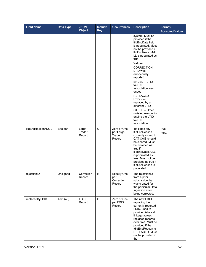| <b>Field Name</b>        | <b>Data Type</b> | <b>JSON</b><br><b>Object</b> | Include<br><b>Key</b> | <b>Occurrences</b>                                | <b>Description</b>                                                                                                                                                                                                                                                                                                                                                                                                               | Format/<br><b>Accepted Values</b> |
|--------------------------|------------------|------------------------------|-----------------------|---------------------------------------------------|----------------------------------------------------------------------------------------------------------------------------------------------------------------------------------------------------------------------------------------------------------------------------------------------------------------------------------------------------------------------------------------------------------------------------------|-----------------------------------|
|                          |                  |                              |                       |                                                   | system. Must be<br>provided if the<br>ItidEndDate field<br>is populated. Must<br>not be provided if<br>ItidEndReasonNU<br>LL is populated as<br>true.<br>Values:<br>CORRECTION-<br>LTID was<br>erroneously<br>reported<br>ENDED - LTID-<br>to-FDID<br>association was<br>ended<br>REPLACED-<br>LTID was<br>replaced by a<br>different LTID<br>OTHER - Other<br>unlisted reason for<br>ending the LTID-<br>to-FDID<br>association |                                   |
| <b>ItidEndReasonNULL</b> | <b>Boolean</b>   | Large<br>Trader<br>Record    | C                     | Zero or One<br>per Large<br>Trader<br>Record      | Indicates any<br>ItidEndReason<br>currently stored in<br><b>CAT CAIS should</b><br>be cleared. Must<br>be provided as<br>true if<br>ItidEndDateNULL<br>is populated as<br>true. Must not be<br>provided as true if<br>ItidEndReason is<br>populated.                                                                                                                                                                             | true<br>false                     |
| rejectionID              | Unsigned         | Correction<br>Record         | R                     | <b>Exactly One</b><br>per<br>Correction<br>Record | The rejectionID<br>from a prior<br>submission that<br>was created for<br>the particular Data<br>Ingestion error<br>being corrected.                                                                                                                                                                                                                                                                                              |                                   |
| replacedByFDID           | Text (40)        | <b>FDID</b><br>Record        | $\mathbf C$           | Zero or One<br>per FDID<br>Record                 | The new FDID<br>replacing the<br>currently reported<br>FDID, used to<br>provide historical<br>linkage across<br>replaced records<br>over time. Must be<br>provided if the<br>fdidEndReason is<br>REPLACED. Must<br>not be provided if<br>the                                                                                                                                                                                     |                                   |